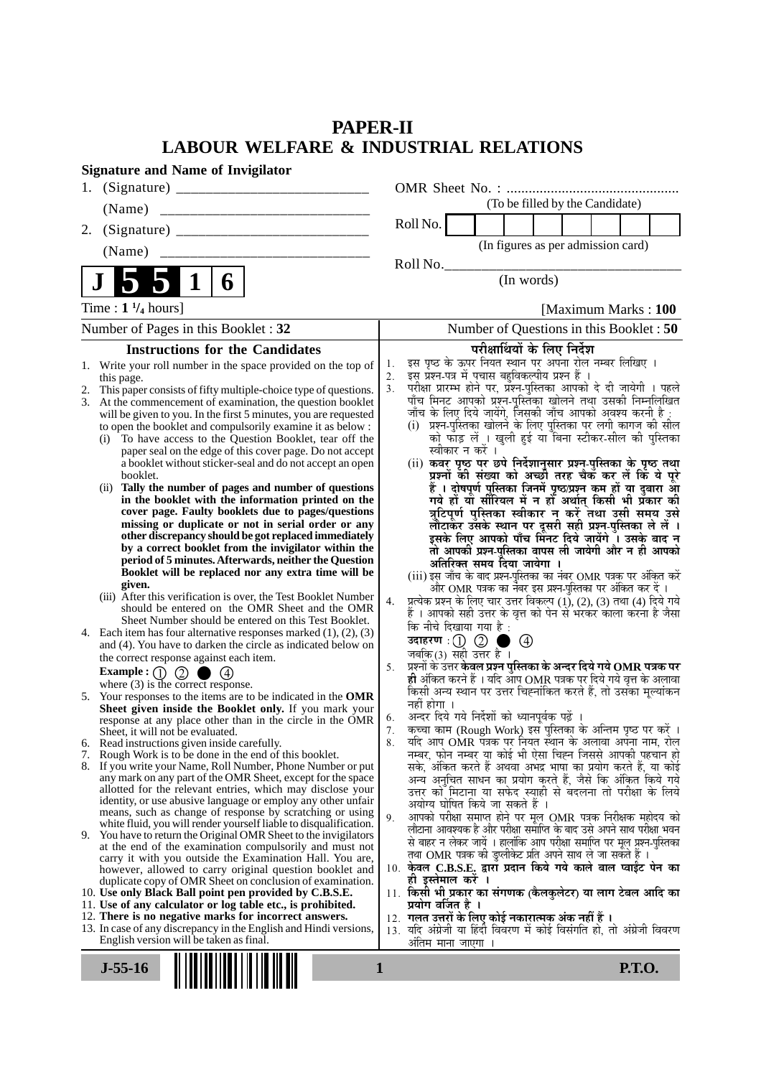# **PAPER-II LABOUR WELFARE & INDUSTRIAL RELATIONS**

| <b>Signature and Name of Invigilator</b>                                                                                                                                                                                                                                                                                                                                                                                                                                                                                                                                                                                                                                                                                   |                                                                                                                                                                                                                                                                                                                                                                                                                                                                                                                                                                                                                                                                                                                                                                                      |
|----------------------------------------------------------------------------------------------------------------------------------------------------------------------------------------------------------------------------------------------------------------------------------------------------------------------------------------------------------------------------------------------------------------------------------------------------------------------------------------------------------------------------------------------------------------------------------------------------------------------------------------------------------------------------------------------------------------------------|--------------------------------------------------------------------------------------------------------------------------------------------------------------------------------------------------------------------------------------------------------------------------------------------------------------------------------------------------------------------------------------------------------------------------------------------------------------------------------------------------------------------------------------------------------------------------------------------------------------------------------------------------------------------------------------------------------------------------------------------------------------------------------------|
|                                                                                                                                                                                                                                                                                                                                                                                                                                                                                                                                                                                                                                                                                                                            |                                                                                                                                                                                                                                                                                                                                                                                                                                                                                                                                                                                                                                                                                                                                                                                      |
| (Name)                                                                                                                                                                                                                                                                                                                                                                                                                                                                                                                                                                                                                                                                                                                     | (To be filled by the Candidate)                                                                                                                                                                                                                                                                                                                                                                                                                                                                                                                                                                                                                                                                                                                                                      |
| 2.                                                                                                                                                                                                                                                                                                                                                                                                                                                                                                                                                                                                                                                                                                                         | Roll No.                                                                                                                                                                                                                                                                                                                                                                                                                                                                                                                                                                                                                                                                                                                                                                             |
| (Name)                                                                                                                                                                                                                                                                                                                                                                                                                                                                                                                                                                                                                                                                                                                     | (In figures as per admission card)                                                                                                                                                                                                                                                                                                                                                                                                                                                                                                                                                                                                                                                                                                                                                   |
|                                                                                                                                                                                                                                                                                                                                                                                                                                                                                                                                                                                                                                                                                                                            | Roll No.                                                                                                                                                                                                                                                                                                                                                                                                                                                                                                                                                                                                                                                                                                                                                                             |
| 6                                                                                                                                                                                                                                                                                                                                                                                                                                                                                                                                                                                                                                                                                                                          | (In words)                                                                                                                                                                                                                                                                                                                                                                                                                                                                                                                                                                                                                                                                                                                                                                           |
| Time : $1\frac{1}{4}$ hours]                                                                                                                                                                                                                                                                                                                                                                                                                                                                                                                                                                                                                                                                                               | [Maximum Marks: 100]                                                                                                                                                                                                                                                                                                                                                                                                                                                                                                                                                                                                                                                                                                                                                                 |
| Number of Pages in this Booklet: 32                                                                                                                                                                                                                                                                                                                                                                                                                                                                                                                                                                                                                                                                                        | Number of Questions in this Booklet: 50                                                                                                                                                                                                                                                                                                                                                                                                                                                                                                                                                                                                                                                                                                                                              |
| <b>Instructions for the Candidates</b>                                                                                                                                                                                                                                                                                                                                                                                                                                                                                                                                                                                                                                                                                     | परीक्षार्थियों के लिए निर्देश                                                                                                                                                                                                                                                                                                                                                                                                                                                                                                                                                                                                                                                                                                                                                        |
| 1. Write your roll number in the space provided on the top of<br>this page.<br>2. This paper consists of fifty multiple-choice type of questions.<br>3. At the commencement of examination, the question booklet<br>will be given to you. In the first 5 minutes, you are requested<br>to open the booklet and compulsorily examine it as below :<br>To have access to the Question Booklet, tear off the<br>(i)<br>paper seal on the edge of this cover page. Do not accept<br>a booklet without sticker-seal and do not accept an open<br>booklet.<br>(ii) Tally the number of pages and number of questions<br>in the booklet with the information printed on the<br>cover page. Faulty booklets due to pages/questions | इस पृष्ठ के ऊपर नियत स्थान पर अपना रोल नम्बर लिखिए ।<br>1.<br>इस प्रश्न-पत्र में पचास बहुविकल्पीय प्रश्न हैं ।<br>2.<br>परीक्षा प्रारम्भ होने पर, प्रश्न-पुस्तिका आपको दे दी जायेगी । पहले<br>3.<br>पाँच मिनट आपको प्रश्न-पुस्तिका खोलने तथा उसकी निम्नलिखित<br>जाँच के लिए दिये जायेंगे, जिसकी जाँच आपको अवश्य करनी है :<br>(i)  प्रश्न-पुरितका खोलने के लिए पुरितका पर लगी कागज की सील<br>को फाड़ लें ़। खुली हुई या बिना स्टीकर-सील की पुरितका<br>स्वीकार न करें ।<br>(ii) कवर पृष्ठ पर छपे निर्देशानुसार प्रश्न-पुस्तिका के पृष्ठ तथा<br>प्रश्नों की संख्या को अच्छौ तरह चैक कर लें कि ये पूरे<br>हैं । दोषपूर्ण पुस्तिका जिनमें पृष्ठ/प्रश्न कम हों या दुबारा आ<br>गये हों यो सीरियल में न हों अर्थात् किसी भी प्रकार की<br>त्रुटिपूर्ण पुस्तिका स्वीकार न करें तथा उसी समय उसे |
| missing or duplicate or not in serial order or any<br>other discrepancy should be got replaced immediately<br>by a correct booklet from the invigilator within the<br>period of 5 minutes. Afterwards, neither the Question<br>Booklet will be replaced nor any extra time will be<br>given.<br>(iii) After this verification is over, the Test Booklet Number<br>should be entered on the OMR Sheet and the OMR<br>Sheet Number should be entered on this Test Booklet.<br>4. Each item has four alternative responses marked $(1)$ , $(2)$ , $(3)$<br>and (4). You have to darken the circle as indicated below on<br>the correct response against each item.<br>$\circled{2}$<br>Example : $(1)$                        | लौटाकेर उसके स्थान पर दूसरी सही प्रश्न-पुस्तिका ले लें ।<br>इसके लिए आपको पाँच मिंनट दिये जायेंगे ँ। उसके बाद न<br>तो आपकी प्रश्न-पुस्तिका वापस ली जायेगी और न ही आपको<br>अतिरिक्त समय दिया जायेगा ।<br>(iii) इस जाँच के बाद प्रश्न-पुस्तिका का नंबर OMR पत्रक पर अंकित करें<br>और OMR पत्रक का नेंबर इस प्रश्न-पुस्तिका पर अंकित कर दें ।<br>प्रत्येक प्रश्न के लिए चार उत्तर विकल्प (1), (2), (3) तथा (4) दिये गये<br>4.<br>हैं । आपको सही उत्तर के वृत्त को पेन से भरकर काला करना है जैसा<br>कि नीचे दिखाया गया है :<br>उदाहरण $\,:\!(\!) \,\,\mathbb{Q} \,$ ।<br>$\circledcirc$<br>जबकि(3) सही उत्तर है ।<br>प्रश्नों के उत्तर केवल प्रश्न पुस्तिका के अन्दर दिये गये $\bf OMR$ पत्रक पर<br>5.<br>ही अंकित करने हैं । यदि आप OMR पत्रक पर दिये गये वृत्त के अलावा                |
| where $(3)$ is the correct response.<br>5. Your responses to the items are to be indicated in the OMR<br>Sheet given inside the Booklet only. If you mark your<br>response at any place other than in the circle in the OMR<br>Sheet, it will not be evaluated.                                                                                                                                                                                                                                                                                                                                                                                                                                                            | किसी अन्य स्थान पर उत्तर चिह्नांकित करते हैं, तो उसका मूल्यांकन<br>नहीं होगा ।<br>अन्दर दिये गये निर्देशों को ध्यानपूर्वक पढ़ें ।<br>6.<br>कच्चा काम (Rough Work) इस पुस्तिका के अन्तिम पृष्ठ पर करें ।<br>7.                                                                                                                                                                                                                                                                                                                                                                                                                                                                                                                                                                        |
| 6. Read instructions given inside carefully.                                                                                                                                                                                                                                                                                                                                                                                                                                                                                                                                                                                                                                                                               | यदि आप OMR पत्रक पर नियत स्थान के अलावा अपना नाम, रोल<br>8.<br>नम्बर, फोन नम्बर या कोई भी ऐसा चिह्न जिससे आपकी पहचान हो                                                                                                                                                                                                                                                                                                                                                                                                                                                                                                                                                                                                                                                              |
| 7. Rough Work is to be done in the end of this booklet.<br>8. If you write your Name, Roll Number, Phone Number or put<br>any mark on any part of the OMR Sheet, except for the space<br>allotted for the relevant entries, which may disclose your<br>identity, or use abusive language or employ any other unfair<br>means, such as change of response by scratching or using<br>white fluid, you will render yourself liable to disqualification.                                                                                                                                                                                                                                                                       | सके, अंकित करते हैं अथवा अभद्र भाषा का प्रयोग करते हैं, या कोई<br>अन्य अनुचित साधन का प्रयोग करते हैं, जैसे कि अंकित किये गये<br>उत्तर को मिटाना या सफेद स्याही से बदलना तो परीक्षा के लिये<br>अयोग्य घोषित किये जा सकते हैं ।<br>आपको परीक्षा समाप्त होने पर मूल OMR पत्रक निरीक्षक महोदय को<br>9.                                                                                                                                                                                                                                                                                                                                                                                                                                                                                  |
| 9. You have to return the Original OMR Sheet to the invigilators<br>at the end of the examination compulsorily and must not<br>carry it with you outside the Examination Hall. You are,<br>however, allowed to carry original question booklet and<br>duplicate copy of OMR Sheet on conclusion of examination.<br>10. Use only Black Ball point pen provided by C.B.S.E.<br>11. Use of any calculator or log table etc., is prohibited.<br>12. There is no negative marks for incorrect answers.<br>13. In case of any discrepancy in the English and Hindi versions,<br>English version will be taken as final.                                                                                                          | लौटाना आवश्यक है और परीक्षा समाप्ति के बाद उसे अपने साथ परीक्षा भवन<br>से बाहर न लेकर जायें । हालांकि आप परीक्षा समाप्ति पर मूल प्रश्न-पुस्तिका<br>तथा OMR पत्रक की डुप्लीकेट प्रति अपने साथ ले जा सकते हैं ।<br>10. केवल C.B.S.E. द्वारा प्रदान किये गये काले बाल प्वाईट पेन का<br>ही इस्तेमाल करे ।<br>11. किसी भी प्रकार का संगणक (कैलकुलेटर) या लाग टेबल आदि का<br>प्रयोग वर्जित है ।<br>12. गलत उत्तरों के लिए कोई नकारात्मक अंक नहीं हैं ।<br>13. यदि अंग्रेजी या हिंदी विवरण में कोई विसंगति हो, तो अंग्रेजी विवरण<br>अतिम माना जाएगा                                                                                                                                                                                                                                         |
| $J-55-16$                                                                                                                                                                                                                                                                                                                                                                                                                                                                                                                                                                                                                                                                                                                  | <b>P.T.O.</b><br>1                                                                                                                                                                                                                                                                                                                                                                                                                                                                                                                                                                                                                                                                                                                                                                   |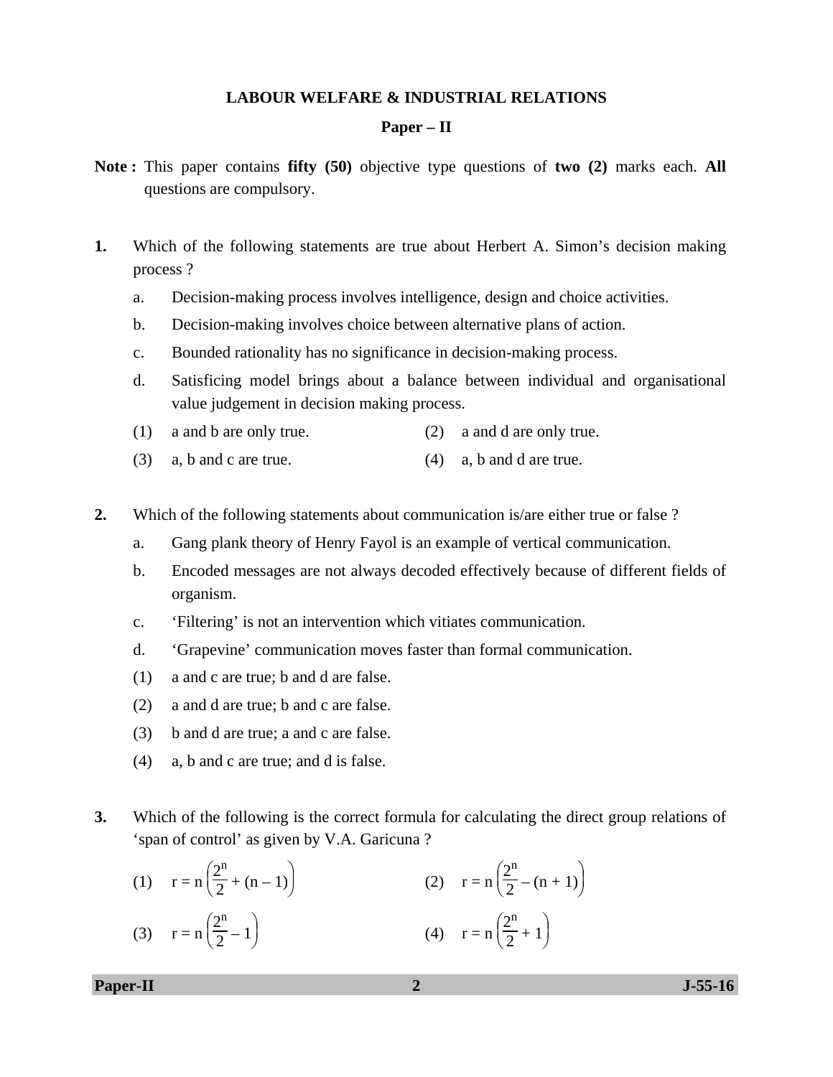#### **LABOUR WELFARE & INDUSTRIAL RELATIONS**

#### **Paper – II**

- **Note :** This paper contains **fifty (50)** objective type questions of **two (2)** marks each. **All** questions are compulsory.
- **1.** Which of the following statements are true about Herbert A. Simon's decision making process ?
	- a. Decision-making process involves intelligence, design and choice activities.
	- b. Decision-making involves choice between alternative plans of action.
	- c. Bounded rationality has no significance in decision-making process.
	- d. Satisficing model brings about a balance between individual and organisational value judgement in decision making process.
	- (1) a and b are only true. (2) a and d are only true.
	- (3) a, b and c are true. (4) a, b and d are true.
- **2.** Which of the following statements about communication is/are either true or false ?
	- a. Gang plank theory of Henry Fayol is an example of vertical communication.
	- b. Encoded messages are not always decoded effectively because of different fields of organism.
	- c. 'Filtering' is not an intervention which vitiates communication.
	- d. 'Grapevine' communication moves faster than formal communication.
	- (1) a and c are true; b and d are false.
	- (2) a and d are true; b and c are false.
	- (3) b and d are true; a and c are false.
	- (4) a, b and c are true; and d is false.
- **3.** Which of the following is the correct formula for calculating the direct group relations of 'span of control' as given by V.A. Garicuna ?

(1) 
$$
r = n\left(\frac{2^n}{2} + (n-1)\right)
$$
   
 (2)  $r = n\left(\frac{2^n}{2} - (n+1)\right)$ 

(3) 
$$
r = n\left(\frac{2^n}{2} - 1\right)
$$
 (4)  $r = n\left(\frac{2^n}{2} + 1\right)$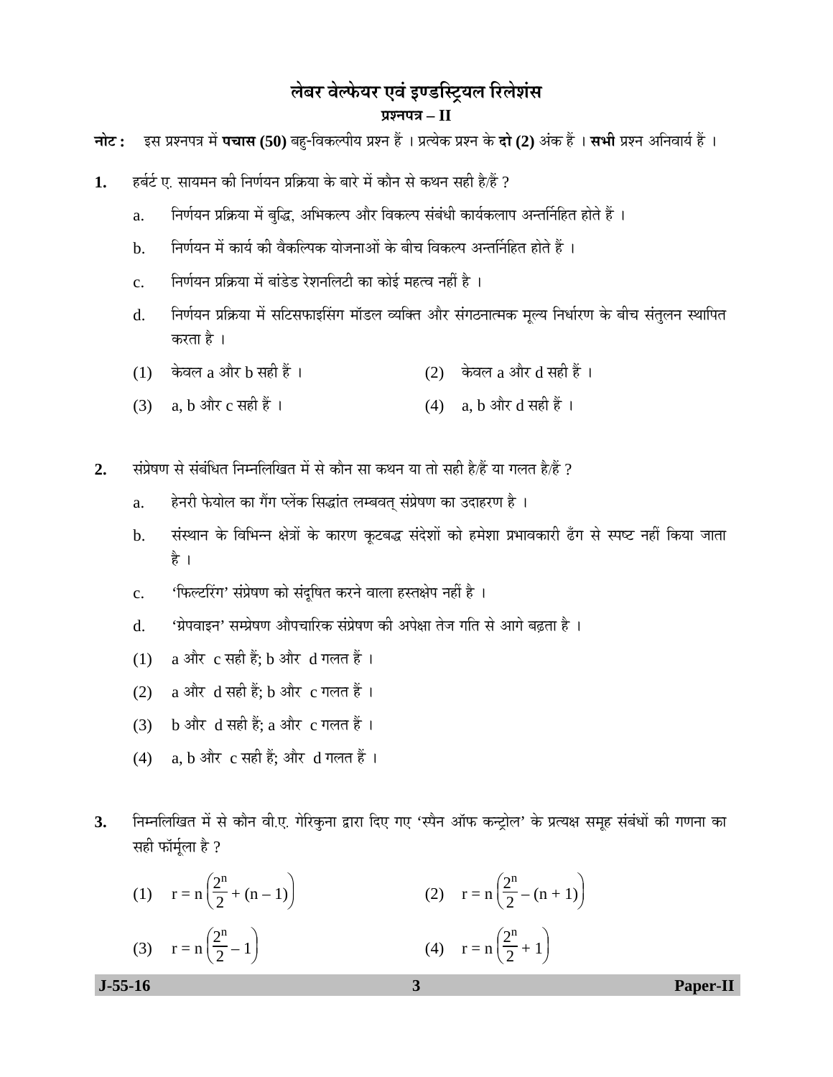# लेबर वेल्फेयर एवं इण्डस्ट्रियल रिलेशंस **¯ÖÏ¿®Ö¯Ö¡Ö – II**

**चोट: इस प्रश्नपत्र में पचास (50)** बहु-विकल्पीय प्रश्न हैं । प्रत्येक प्रश्न के **दो (2)** अंक हैं । सभी प्रश्न अनिवार्य हैं ।

- **1.** Æü²ÖÔ™Ôü ‹. ÃÖÖµÖ´Ö®Ö Ûúß ×®ÖÞÖÔµÖ®Ö ¯ÖÏ×ÛÎúµÖÖ Ûêú ²ÖÖ¸êü ´Öë ÛúÖî®Ö ÃÖê Ûú£Ö®Ö ÃÖÆüß Æîü/Æïü ?
	- a. निर्णयन प्रक्रिया में बुद्धि, अभिकल्प और विकल्प संबंधी कार्यकलाप अन्तर्निहित होते हैं ।
	- b. निर्णयन में कार्य की वैकल्पिक योजनाओं के बीच विकल्प अन्तर्निहित होते हैं ।
	- $\,\mathrm{c.}$  िनिर्णयन प्रक्रिया में बांडेड रेशनलिटी का कोई महत्व नहीं है ।
	- d. निर्णयन प्रक्रिया में सटिसफाइसिंग मॉडल व्यक्ति और संगठनात्मक मृल्य निर्धारण के बीच संतुलन स्थापित करता है ।
	- $(1)$  केवल a और b सही हैं ।  $(2)$  केवल a और d सही हैं ।
	- (3) a, b और c सही हैं ।  $(4)$  a, b और d सही हैं ।
- 2. संप्रेषण से संबंधित निम्नलिखित में से कौन सा कथन या तो सही है/हैं या गलत है/हैं ?
	- a. हेनरी फेयोल का गैंग प्लेंक सिद्धांत लम्बवत् संप्रेषण का उदाहरण है ।
	- b. संस्थान के विभिन्न क्षेत्रों के कारण कटबद्ध संदेशों को हमेशा प्रभावकारी ढँग से स्पष्ट नहीं किया जाता है ।
	- c. 'फिल्टरिंग' संप्रेषण को संदुषित करने वाला हस्तक्षेप नहीं है ।
	- d. 'ग्रेपवाइन' सम्प्रेषण औपचारिक संप्रेषण की अपेक्षा तेज गति से आगे बढता है ।
	- (1) a और c सही हैं; b और d गलत हैं ।
	- (2) a और d सही हैं: b और c गलत हैं।
	- (3) b और d सही हैं; a और c गलत हैं।
	- $(4)$  a, b और c सही हैं; और d गलत हैं।
- 3. निम्नलिखित में से कौन वी.ए. गेरिकुना द्वारा दिए गए 'स्पैन ऑफ कन्ट्रोल' के प्रत्यक्ष समूह संबंधों की गणना का सही फॉर्मुला है ?

| (1) $r = n\left(\frac{2^n}{2} + (n-1)\right)$ | (2) $r = n\left(\frac{2^n}{2} - (n+1)\right)$ |
|-----------------------------------------------|-----------------------------------------------|
| (3) $r = n\left(\frac{2^n}{2} - 1\right)$     | (4) $r = n\left(\frac{2^n}{2} + 1\right)$     |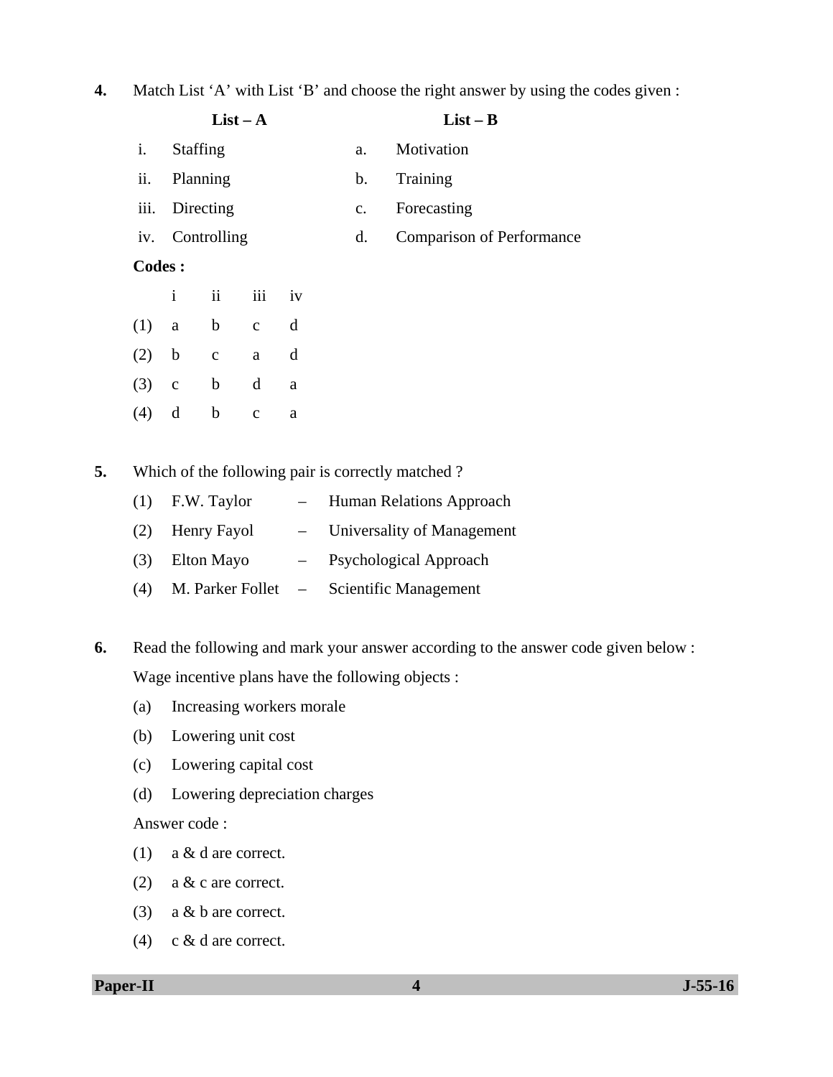# **4.** Match List 'A' with List 'B' and choose the right answer by using the codes given :

|               |                 |                 | $List - A$   |          |                | $List - B$                       |
|---------------|-----------------|-----------------|--------------|----------|----------------|----------------------------------|
| i.            | <b>Staffing</b> |                 |              |          | a.             | Motivation                       |
| ii.           | Planning        |                 |              |          | b.             | Training                         |
| iii.          |                 | Directing       |              |          | $\mathbf{c}$ . | Forecasting                      |
|               |                 | iv. Controlling |              |          | d.             | <b>Comparison of Performance</b> |
| <b>Codes:</b> |                 |                 |              |          |                |                                  |
|               | $\mathbf{i}$    | $\ddot{\rm n}$  | iii iv       |          |                |                                  |
| (1)           | $\mathbf{a}$    | $\mathbf b$     | $\mathbf{C}$ | d        |                |                                  |
| (2)           | $\mathbf b$     | $\mathbf C$     | $\mathbf{a}$ | d        |                |                                  |
| (3)           | $\mathbf{C}$    | $\mathbf b$     | $\mathbf d$  | $\rm{a}$ |                |                                  |
| (4)           | d               | $\mathbf b$     | $\mathbf c$  | a        |                |                                  |
|               |                 |                 |              |          |                |                                  |

**5.** Which of the following pair is correctly matched ?

|     | $(1)$ F.W. Taylor | Human Relations Approach                 |
|-----|-------------------|------------------------------------------|
|     | (2) Henry Fayol   | - Universality of Management             |
| (3) | Elton Mayo        | - Psychological Approach                 |
| (4) |                   | M. Parker Follet – Scientific Management |

**6.** Read the following and mark your answer according to the answer code given below : Wage incentive plans have the following objects :

- (a) Increasing workers morale
- (b) Lowering unit cost
- (c) Lowering capital cost
- (d) Lowering depreciation charges

Answer code :

- (1) a & d are correct.
- (2) a & c are correct.
- (3) a & b are correct.
- (4) c & d are correct.

**Paper-II 1-55-16**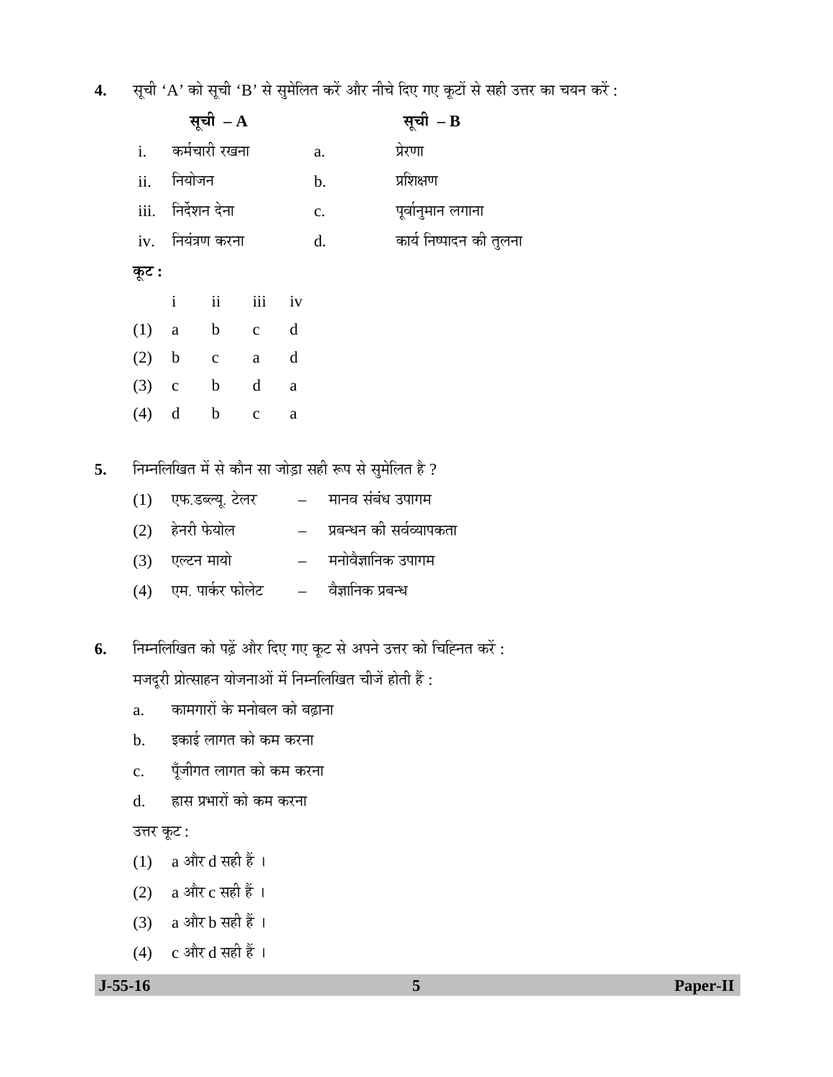**4.** सूची 'A' को सूची 'B' से सुमेलित करें और नीचे दिए गए कूटों से सही उत्तर का चयन करें :

|    |         |              | सूची $- A$                    |              |               |                | सूची $-$ B                                             |  |
|----|---------|--------------|-------------------------------|--------------|---------------|----------------|--------------------------------------------------------|--|
|    |         |              | i. कर्मचारी रखना              |              |               | a.             | प्रेरणा                                                |  |
|    |         | ii. नियोजन   |                               |              |               | b.             | प्रशिक्षण                                              |  |
|    |         |              | iii. निर्देशन देना            |              |               | $\mathbf{c}$ . | पूर्वानुमान लगाना                                      |  |
|    |         |              | iv. नियंत्रण करना             |              |               | d.             | कार्य निष्पादन की तुलना                                |  |
|    | कूट :   |              |                               |              |               |                |                                                        |  |
|    |         | $\mathbf{i}$ | $\overrightarrow{\mathbf{i}}$ | iii          | iv            |                |                                                        |  |
|    | (1)     | $\rm{a}$     | $b$ c                         |              | $\mathbf d$   |                |                                                        |  |
|    | $(2)$ b |              | $\mathbf{c}$                  | a            | $\mathbf d$   |                |                                                        |  |
|    |         |              | $(3)$ c b                     | d            | $\mathbf{a}$  |                |                                                        |  |
|    | $(4)$ d |              | $\mathbf b$                   | $\mathbf{c}$ | $\rm{a}$      |                |                                                        |  |
|    |         |              |                               |              |               |                |                                                        |  |
| 5. |         |              |                               |              |               |                | निम्नलिखित में से कौन सा जोड़ा सही रूप से सुमेलित है ? |  |
|    | (1)     |              | एफ.डब्ल्यू. टेलर              |              |               |                | – मानव संबंध उपागम                                     |  |
|    |         |              | (2) हेनरी फेयोल               |              |               |                | प्रबन्धन की सर्वव्यापकता                               |  |
|    |         |              | (3) एल्टन मायो                |              | $\frac{1}{2}$ |                | मनोवैज्ञानिक उपागम                                     |  |
|    |         |              | (4) एम. पार्कर फोलेट          |              |               |                | – वैज्ञानिक प्रबन्ध                                    |  |
|    |         |              |                               |              |               |                |                                                        |  |

6. निम्नलिखित को पढ़ें और दिए गए कूट से अपने उत्तर को चिह्नित करें : मजदूरी प्रोत्साहन योजनाओं में निम्नलिखित चीजें होती हैं :

- a. कामगारों के मनोबल को बढ़ाना
- b. इकाई लागत को कम करना
- c. पूँजीगत लागत को कम करना
- d. हास प्रभारों को कम करना

उत्तर कूट :

- (1) a और d सही हैं ।
- (2) a और  $c$  सही हैं ।
- (3) a और  $b$  सही हैं ।
- (4)  $c \operatorname{c} \operatorname{d} \overline{\mathfrak{c}}$  (4)  $\operatorname{d} \overline{\mathfrak{c}}$   $\operatorname{d} \overline{\mathfrak{c}}$  ।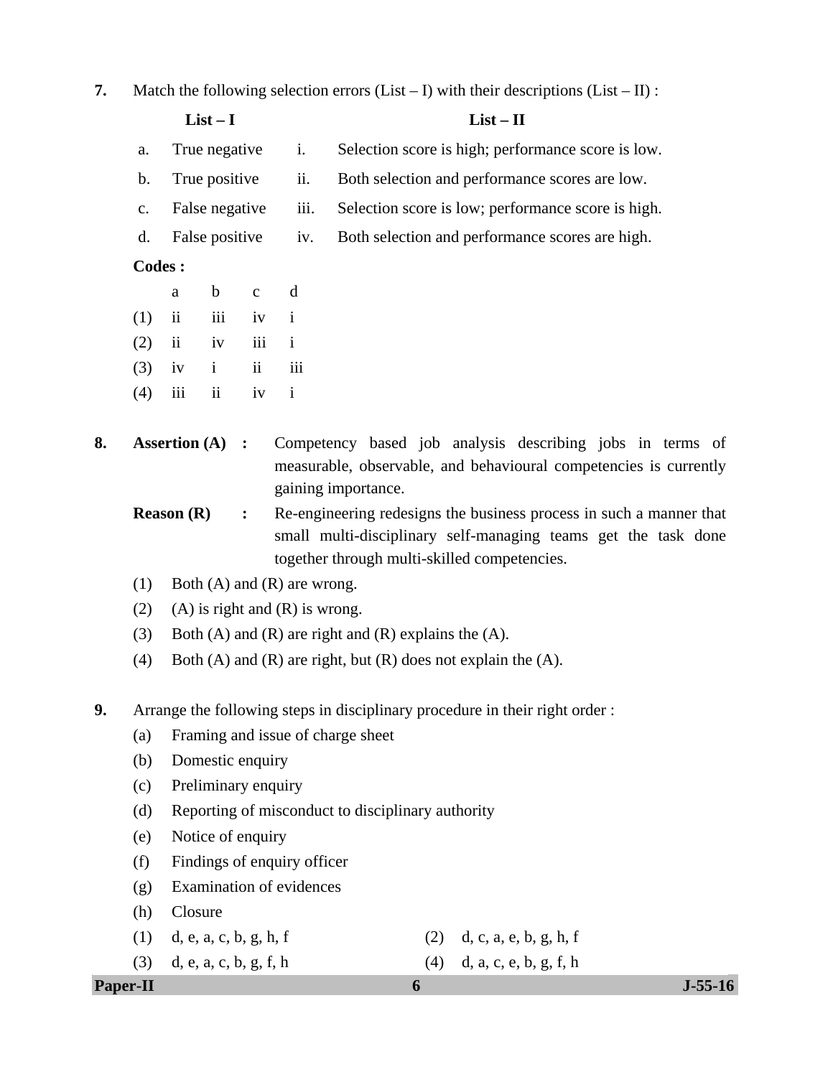**7.** Match the following selection errors  $(List - I)$  with their descriptions  $(List - II)$ :

| $List-I$<br>$List - II$ |
|-------------------------|
|-------------------------|

- a. True negative i. Selection score is high; performance score is low.
- b. True positive ii. Both selection and performance scores are low.
- c. False negative iii. Selection score is low; performance score is high.
- d. False positive iv. Both selection and performance scores are high.

### **Codes :**

- a b c d
	- $(1)$  ii iii iv i
- $(2)$  ii iv iii i
- $(3)$  iv i ii iii
	- $(4)$  iii ii iv i
- **8. Assertion (A) :** Competency based job analysis describing jobs in terms of measurable, observable, and behavioural competencies is currently gaining importance.
	- **Reason (R)** : Re-engineering redesigns the business process in such a manner that small multi-disciplinary self-managing teams get the task done together through multi-skilled competencies.
	- (1) Both (A) and (R) are wrong.
	- (2) (A) is right and  $(R)$  is wrong.
	- (3) Both (A) and (R) are right and (R) explains the  $(A)$ .
	- (4) Both (A) and (R) are right, but (R) does not explain the  $(A)$ .
- **9.** Arrange the following steps in disciplinary procedure in their right order :
	- (a) Framing and issue of charge sheet
	- (b) Domestic enquiry
	- (c) Preliminary enquiry
	- (d) Reporting of misconduct to disciplinary authority
	- (e) Notice of enquiry
	- (f) Findings of enquiry officer
	- (g) Examination of evidences
	- (h) Closure
	- (1) d, e, a, c, b, g, h, f (2) d, c, a, e, b, g, h, f
	- (3) d, e, a, c, b, g, f, h (4) d, a, c, e, b, g, f, h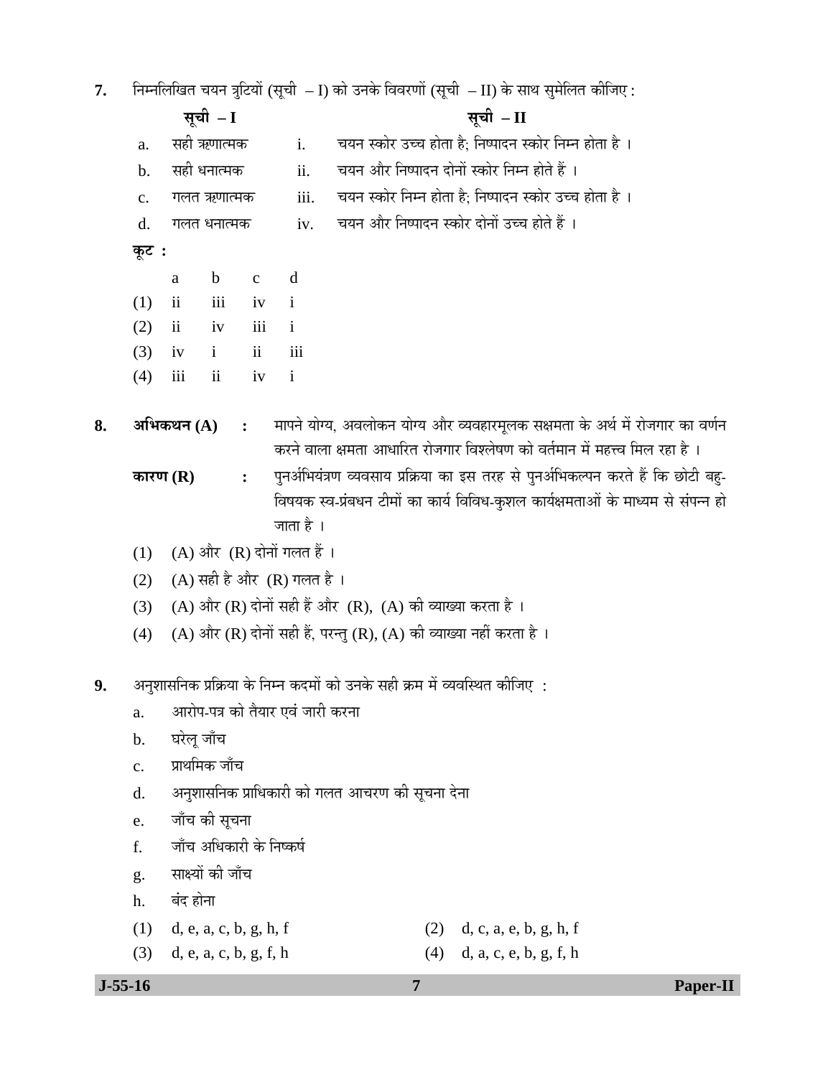**7.** निम्नलिखित चयन त्रुटियों (सूची – I) को उनके विवरणों (सूची – II) के साथ सुमेलित कीजिए :

|    |               | सूची - I                         |                         |              | सूची - II                                                                                                                                                             |
|----|---------------|----------------------------------|-------------------------|--------------|-----------------------------------------------------------------------------------------------------------------------------------------------------------------------|
|    | a.            | सही ऋणात्मक                      |                         | i.           | चयन स्कोर उच्च होता है; निष्पादन स्कोर निम्न होता है ।                                                                                                                |
|    | $\mathbf b$ . | सही धनात्मक                      |                         | ii.          | चयन और निष्पादन दोनों स्कोर निम्न होते हैं ।                                                                                                                          |
|    | $C_{\bullet}$ | गलत ऋणात्मक                      |                         | iii.         | चयन स्कोर निम्न होता है; निष्पादन स्कोर उच्च होता है ।                                                                                                                |
|    | d.            | गलत धनात्मक                      |                         | iv.          | चयन और निष्पादन स्कोर दोनों उच्च होते हैं ।                                                                                                                           |
|    | कूट :         |                                  |                         |              |                                                                                                                                                                       |
|    |               | $\mathbf b$<br>a                 | $\mathbf c$             | d            |                                                                                                                                                                       |
|    | (1)           | $\overline{\mathbf{ii}}$<br>iii  | iv                      | $\mathbf{i}$ |                                                                                                                                                                       |
|    | (2)           | $\overline{\mathbf{u}}$<br>iv    | iii                     | $\mathbf{i}$ |                                                                                                                                                                       |
|    | (3)           | $\mathbf{i}$<br>iv               | $\overline{\mathbf{u}}$ | iii          |                                                                                                                                                                       |
|    | (4)           | iii<br>$\mathbf{ii}$             | iv                      | $\mathbf{i}$ |                                                                                                                                                                       |
| 8. |               | अभिकथन $(A)$                     | $\ddot{\cdot}$          |              | मापने योग्य, अवलोकन योग्य और व्यवहारमूलक सक्षमता के अर्थ में रोजगार का वर्णन<br>करने वाला क्षमता आधारित रोजगार विश्लेषण को वर्तमान में महत्त्व मिल रहा है ।           |
|    | कारण $(R)$    |                                  | $\ddot{\bullet}$        | जाता है ।    | पुनर्अभियंत्रण व्यवसाय प्रक्रिया का इस तरह से पुनर्अभिकल्पन करते हैं कि छोटी बहु-<br>विषयक स्व-प्रंबधन टीमों का कार्य विविध-कुशल कार्यक्षमताओं के माध्यम से संपन्न हो |
|    | (1)           | (A) और (R) दोनों गलत हैं।        |                         |              |                                                                                                                                                                       |
|    | (2)           | $(A)$ सही है और $(R)$ गलत है ।   |                         |              |                                                                                                                                                                       |
|    | (3)           |                                  |                         |              | (A) और (R) दोनों सही हैं और (R), (A) की व्याख्या करता है।                                                                                                             |
|    | (4)           |                                  |                         |              | (A) और (R) दोनों सही हैं, परन्तु (R), (A) की व्याख्या नहीं करता है ।                                                                                                  |
|    |               |                                  |                         |              |                                                                                                                                                                       |
| 9. |               |                                  |                         |              | अनुशासनिक प्रक्रिया के निम्न कदमों को उनके सही क्रम में व्यवस्थित कीजिए :                                                                                             |
|    | a.            | आरोप-पत्र को तैयार एवं जारी करना |                         |              |                                                                                                                                                                       |
|    | $\mathbf b$ . | घरेलू जाँच                       |                         |              |                                                                                                                                                                       |
|    | $C_{\bullet}$ | प्राथमिक जाँच                    |                         |              |                                                                                                                                                                       |
|    | d.            |                                  |                         |              | अनुशासनिक प्राधिकारी को गलत आचरण की सूचना देना                                                                                                                        |
|    | e.            | जाँच की सूचना                    |                         |              |                                                                                                                                                                       |
|    | f.            | जाँच अधिकारी के निष्कर्ष         |                         |              |                                                                                                                                                                       |
|    | g.            | साक्ष्यों की जाँच                |                         |              |                                                                                                                                                                       |
|    | h.            | बंद होना                         |                         |              |                                                                                                                                                                       |
|    | (1)           | d, e, a, c, b, g, h, f           |                         |              | d, c, a, e, b, g, h, f<br>(2)                                                                                                                                         |
|    | (3)           | d, e, a, c, b, g, f, h           |                         |              | (4)<br>d, a, c, e, b, g, f, h                                                                                                                                         |

 **J-55-16 7 Paper-II**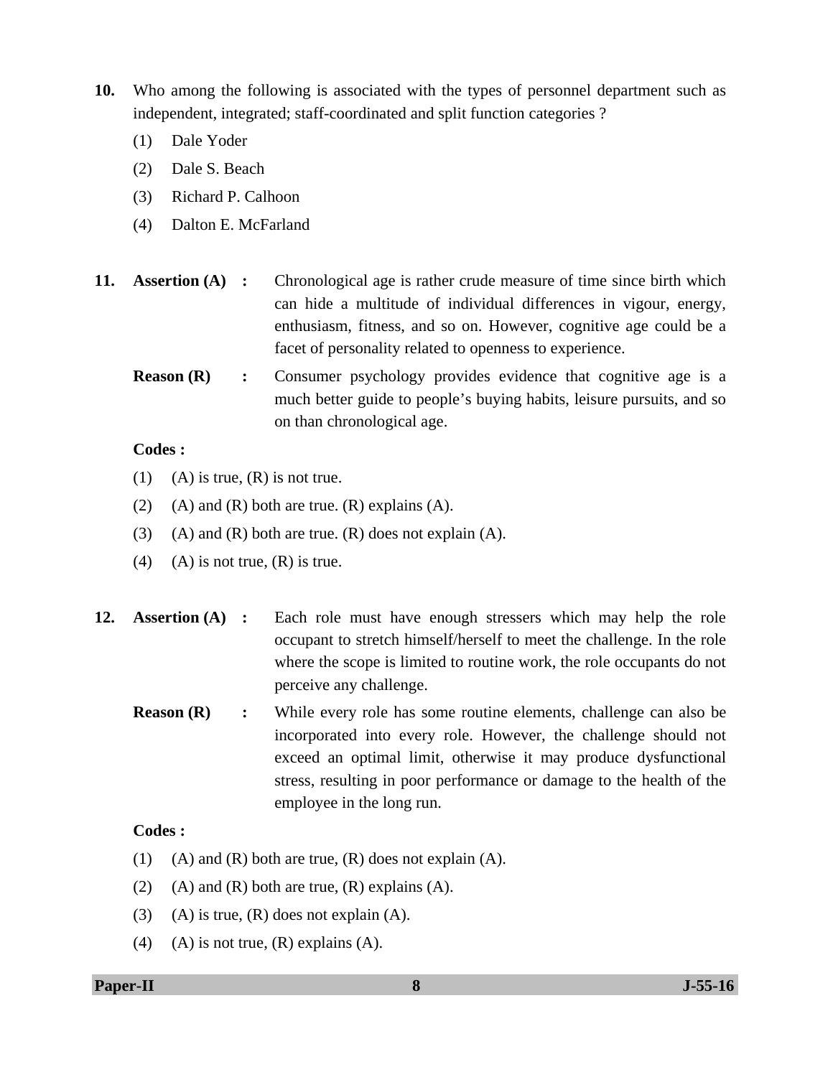- **10.** Who among the following is associated with the types of personnel department such as independent, integrated; staff-coordinated and split function categories ?
	- (1) Dale Yoder
	- (2) Dale S. Beach
	- (3) Richard P. Calhoon
	- (4) Dalton E. McFarland
- **11. Assertion (A)** : Chronological age is rather crude measure of time since birth which can hide a multitude of individual differences in vigour, energy, enthusiasm, fitness, and so on. However, cognitive age could be a facet of personality related to openness to experience.
	- **Reason (R)** : Consumer psychology provides evidence that cognitive age is a much better guide to people's buying habits, leisure pursuits, and so on than chronological age.

# **Codes :**

- (1) (A) is true,  $(R)$  is not true.
- (2) (A) and (R) both are true. (R) explains (A).
- (3) (A) and  $(R)$  both are true.  $(R)$  does not explain  $(A)$ .
- (4) (A) is not true,  $(R)$  is true.
- **12. Assertion (A) :** Each role must have enough stressers which may help the role occupant to stretch himself/herself to meet the challenge. In the role where the scope is limited to routine work, the role occupants do not perceive any challenge.
	- **Reason (R)** : While every role has some routine elements, challenge can also be incorporated into every role. However, the challenge should not exceed an optimal limit, otherwise it may produce dysfunctional stress, resulting in poor performance or damage to the health of the employee in the long run.

# **Codes :**

- (1) (A) and  $(R)$  both are true,  $(R)$  does not explain  $(A)$ .
- (2) (A) and (R) both are true,  $(R)$  explains  $(A)$ .
- (3) (A) is true,  $(R)$  does not explain  $(A)$ .
- (4) (A) is not true,  $(R)$  explains  $(A)$ .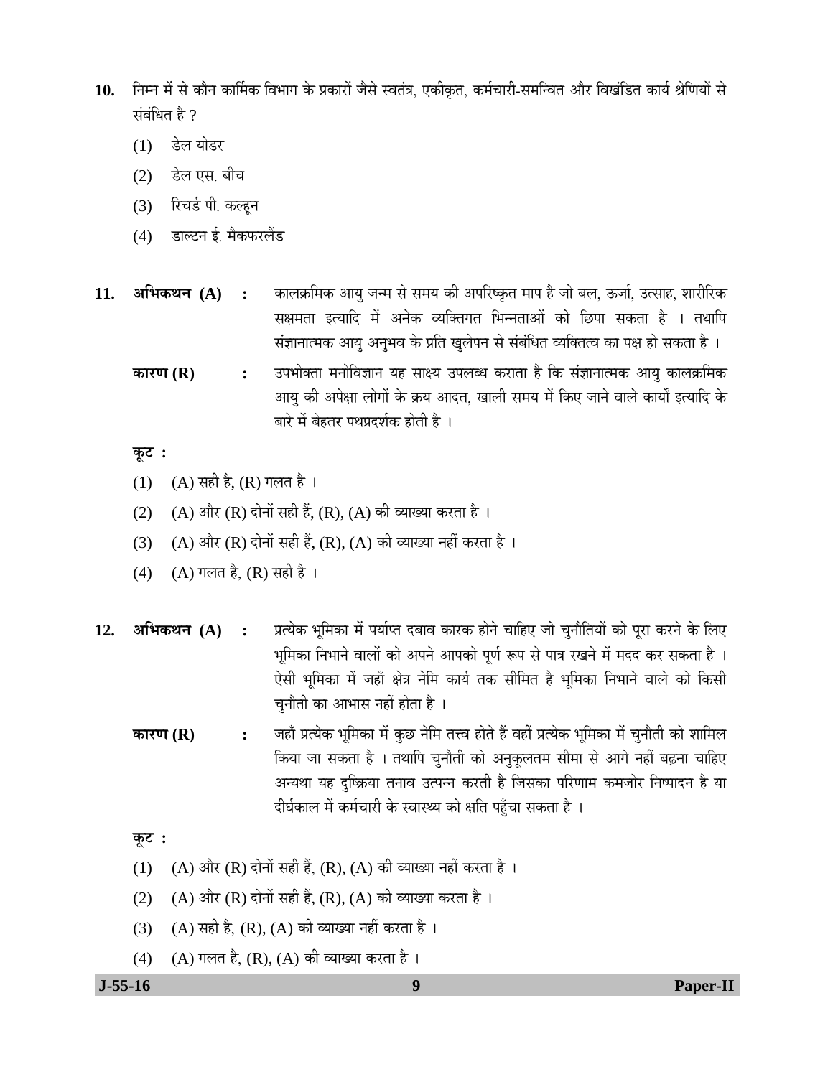- 10. निम्न में से कौन कार्मिक विभाग के प्रकारों जैसे स्वतंत्र, एकीकृत, कर्मचारी-समन्वित और विखंडित कार्य श्रेणियों से संबंधित है ?
	- (1) डेल योडर
	- (2) डेल एस. बीच
	- (3) रिचर्ड पी. कल्हून
	- (4) डाल्टन ई. मैकफरलैंड
- 11. **अभिकथन (A) :** कालक्रमिक आयु जन्म से समय की अपरिष्कृत माप है जो बल, ऊर्जा, उत्साह, शारीरिक सक्षमता इत्यादि में अनेक व्यक्तिगत भिन्नताओं को छिपा सकता है । तथापि संज्ञानात्मक आयु अनुभव के प्रति खुलेपन से संबंधित व्यक्तित्व का पक्ष हो सकता है ।
	- **ÛúÖ¸üÞÖ (R) :** ˆ¯Ö³ÖÖꌟÖÖ ´Ö®ÖÖê×¾Ö–ÖÖ®Ö µÖÆü ÃÖÖõµÖ ˆ¯Ö»Ö²¬Ö Ûú¸üÖŸÖÖ Æîü ×Ûú ÃÖÓ–ÖÖ®ÖÖŸ´ÖÛú †ÖµÖã ÛúÖ»ÖÛÎú×´ÖÛú आयु की अपेक्षा लोगों के क्रय आदत, खाली समय में किए जाने वाले कार्यों इत्यादि के बारे में बेहतर पथप्रदर्शक होती है ।

#### **Ûæú™ü :**

- (1) (A) सही है, (R) गलत है ।
- (2) (A) और (R) दोनों सही हैं, (R), (A) की व्याख्या करता है ।
- (3) (A) और (R) दोनों सही हैं, (R), (A) की व्याख्या नहीं करता है ।
- (4) (A) गलत है, (R) सही है ।
- 12. **अभिकथन** (A) : प्रत्येक भूमिका में पर्याप्त दबाव कारक होने चाहिए जो चुनौतियों को पूरा करने के लिए भूमिका निभाने वालों को अपने आपको पूर्ण रूप से पात्र रखने में मदद कर सकता है । ऐसी भूमिका में जहाँ क्षेत्र नेमि कार्य तक सीमित है भूमिका निभाने वाले को किसी चुनौती का आभास नहीं होता है ।
	- **ÛúÖ¸üÞÖ (R) :** •ÖÆüÖÑ ¯ÖÏŸµÖêÛú ³Öæ×´ÖÛúÖ ´Öë Ûãú"û ®Öê×´Ö ŸÖ¢¾Ö ÆüÖêŸÖê Æïü ¾ÖÆüà ¯ÖÏŸµÖêÛú ³Öæ×´ÖÛúÖ ´Öë "Öã®ÖÖîŸÖß ÛúÖê ¿ÖÖ×´Ö»Ö किया जा सकता है । तथापि चुनौती को अनुकूलतम सीमा से आगे नहीं बढ़ना चाहिए अन्यथा यह दृष्क्रिया तनाव उत्पन्न करती है जिसका परिणाम कमजोर निष्पादन है या दीर्घकाल में कर्मचारी के स्वास्थ्य को क्षति पहुँचा सकता है ।

### **Ûæú™ü :**

- (1) (A) और (R) दोनों सही हैं, (R), (A) की व्याख्या नहीं करता है ।
- (2) (A) और (R) दोनों सही हैं, (R), (A) की व्याख्या करता है ।
- (3) (A) सही है, (R), (A) की व्याख्या नहीं करता है ।
- (4) (A) गलत है, (R), (A) की व्याख्या करता है ।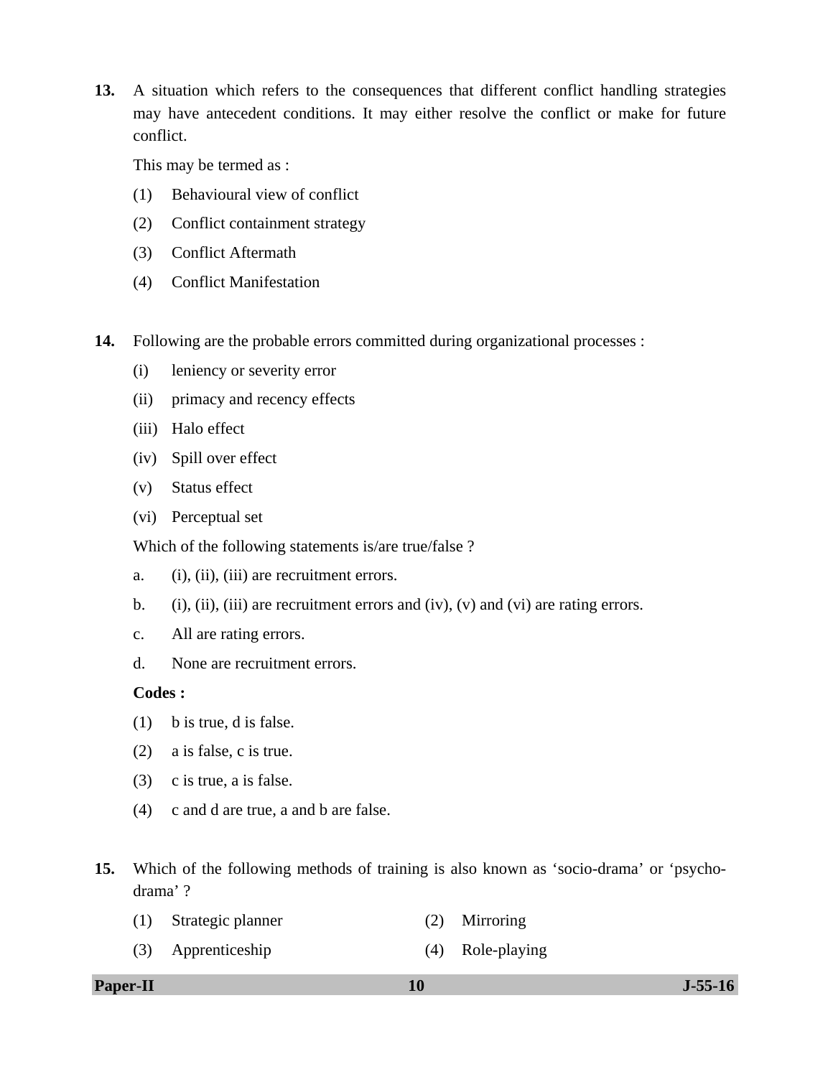**13.** A situation which refers to the consequences that different conflict handling strategies may have antecedent conditions. It may either resolve the conflict or make for future conflict.

This may be termed as :

- (1) Behavioural view of conflict
- (2) Conflict containment strategy
- (3) Conflict Aftermath
- (4) Conflict Manifestation
- **14.** Following are the probable errors committed during organizational processes :
	- (i) leniency or severity error
	- (ii) primacy and recency effects
	- (iii) Halo effect
	- (iv) Spill over effect
	- (v) Status effect
	- (vi) Perceptual set

Which of the following statements is/are true/false ?

- a. (i), (ii), (iii) are recruitment errors.
- b. (i), (ii), (iii) are recruitment errors and (iv), (v) and (vi) are rating errors.
- c. All are rating errors.
- d. None are recruitment errors.

#### **Codes :**

- (1) b is true, d is false.
- (2) a is false, c is true.
- (3) c is true, a is false.
- (4) c and d are true, a and b are false.
- **15.** Which of the following methods of training is also known as 'socio-drama' or 'psychodrama' ?
	- (1) Strategic planner (2) Mirroring
	- (3) Apprenticeship (4) Role-playing

**Paper-II** J-55-16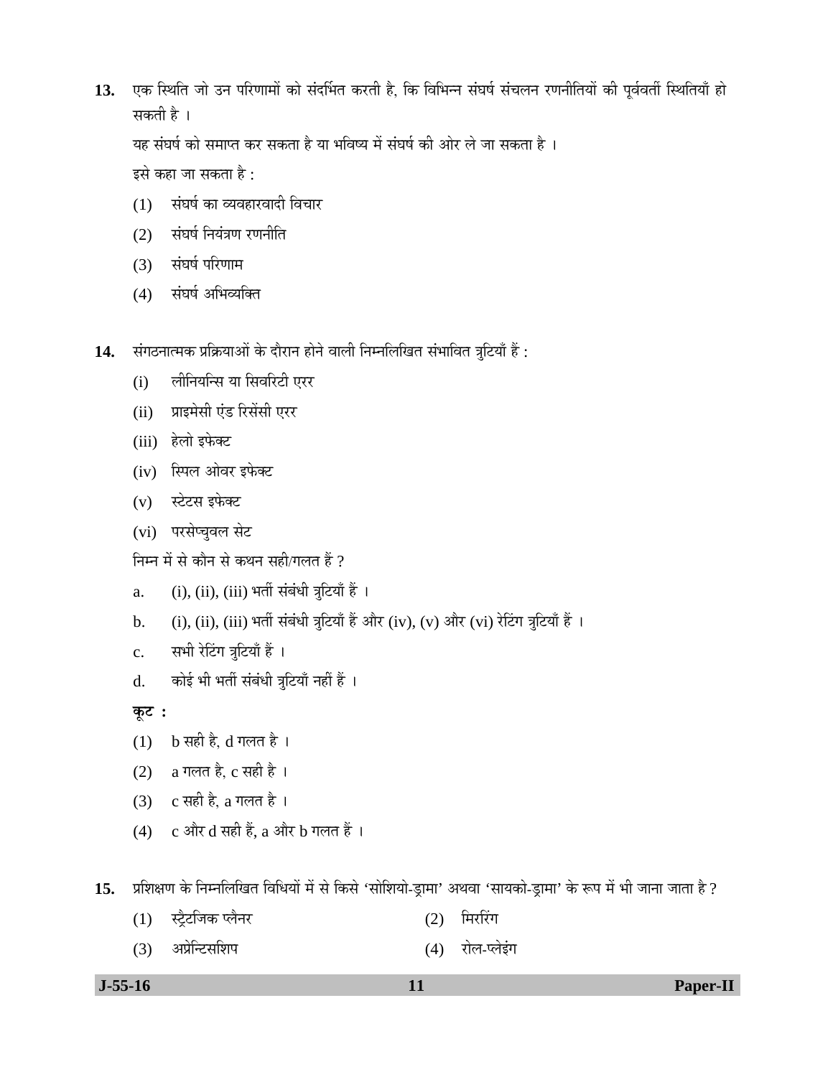13. एक स्थिति जो उन परिणामों को संदर्भित करती है, कि विभिन्न संघर्ष संचलन रणनीतियों की पूर्ववर्ती स्थितियाँ हो सकती है ।

यह संघर्ष को समाप्त कर सकता है या भविष्य में संघर्ष की ओर ले जा सकता है ।

इसे कहा जा सकता है :

- (1) संघर्ष का व्यवहारवादी विचार
- $(2)$  संघर्ष नियंत्रण रणनीति
- (3) संघर्ष परिणाम
- (4) संघर्ष अभिव्यक्ति
- 14. संगठनात्मक प्रक्रियाओं के दौरान होने वाली निम्नलिखित संभावित त्रूटियाँ हैं :
	- (i) लीनियन्सि या सिवरिटी एरर
	- (ii) प्राइमेसी एंड रिसेंसी एरर
	- (iii) हेलो इफेक्ट
	- (iv) स्पिल ओवर इफेक्ट
	- (v) स्टेटस इफेक्ट
	- (vi) परसेप्चुवल सेट

निम्न में से कौन से कथन सही/गलत हैं ?

- a. (i), (ii), (iii) भर्ती संबंधी त्रूटियाँ हैं ।
- b. (i), (ii), (iii) भर्ती संबंधी त्रुटियाँ हैं और (iv), (v) और (vi) रेटिंग त्रुटियाँ हैं ।
- c. सभी रेटिंग त्रुटियाँ हैं ।
- d. कोई भी भर्ती संबंधी त्रुटियाँ नहीं हैं ।

**Ûæú™ü :** 

- $(1)$  b सही है, d गलत है।
- (2) a गलत है, c सही है ।
- (3)  $c$  सही है, a गलत है।
- (4)  $\,$  c और d सही हैं, a और b गलत हैं ।

15. प्रशिक्षण के निम्नलिखित विधियों में से किसे 'सोशियो-ड्रामा' अथवा 'सायको-ड्रामा' के रूप में भी जाना जाता है ?

- (1) स्ट्रैटजिक प्लैनर (2) मिररिंग
- (3) अप्रेन्टिसशिप (4) रोल-प्लेइंग

 **J-55-16 11 Paper-II**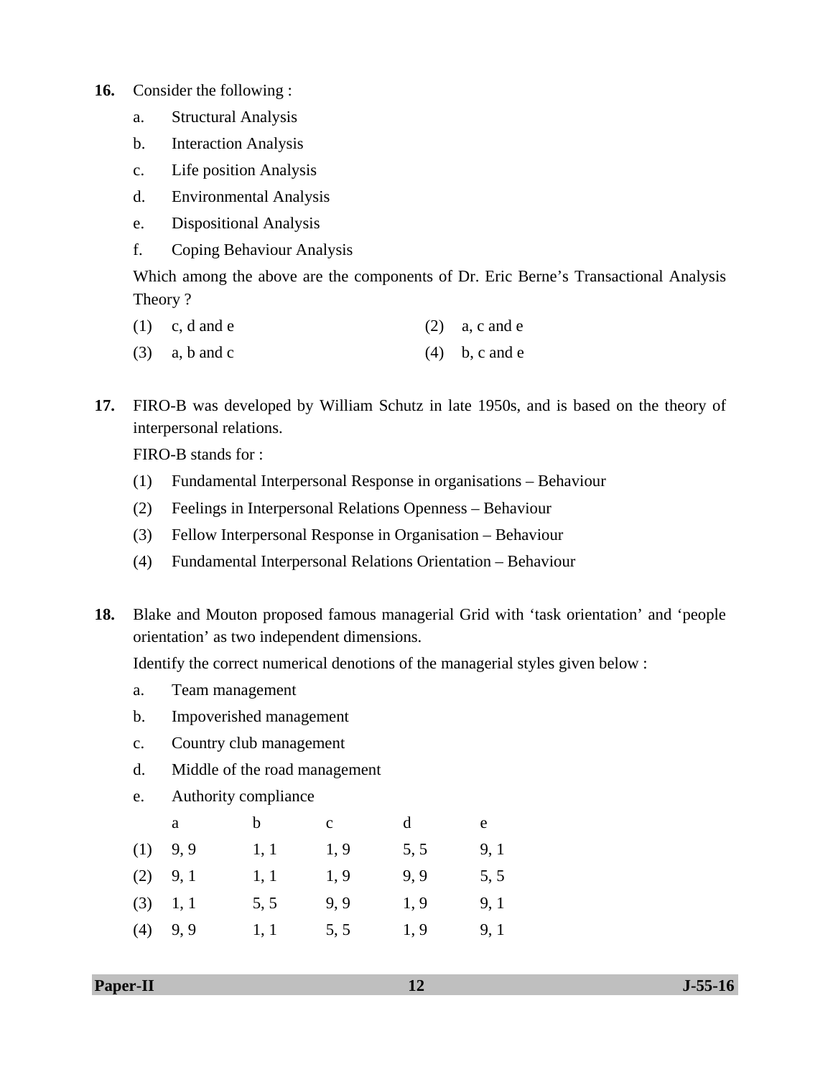- **16.** Consider the following :
	- a. Structural Analysis
	- b. Interaction Analysis
	- c. Life position Analysis
	- d. Environmental Analysis
	- e. Dispositional Analysis
	- f. Coping Behaviour Analysis

 Which among the above are the components of Dr. Eric Berne's Transactional Analysis Theory ?

- (1) c, d and e (2) a, c and e
- (3) a, b and c (4) b, c and e

**17.** FIRO-B was developed by William Schutz in late 1950s, and is based on the theory of interpersonal relations.

FIRO-B stands for :

- (1) Fundamental Interpersonal Response in organisations Behaviour
- (2) Feelings in Interpersonal Relations Openness Behaviour
- (3) Fellow Interpersonal Response in Organisation Behaviour
- (4) Fundamental Interpersonal Relations Orientation Behaviour
- **18.** Blake and Mouton proposed famous managerial Grid with 'task orientation' and 'people orientation' as two independent dimensions.

Identify the correct numerical denotions of the managerial styles given below :

- a. Team management
- b. Impoverished management
- c. Country club management
- d. Middle of the road management
- e. Authority compliance

|     | a          | b    | $\mathbf{C}$ | d    | e    |
|-----|------------|------|--------------|------|------|
| (1) | 9,9        | 1, 1 | 1,9          | 5, 5 | 9, 1 |
|     | $(2)$ 9, 1 | 1, 1 | 1, 9         | 9,9  | 5, 5 |
|     | $(3)$ 1, 1 | 5, 5 | 9,9          | 1, 9 | 9, 1 |
| (4) | 9,9        | 1, 1 | 5, 5         | 1, 9 | 9, 1 |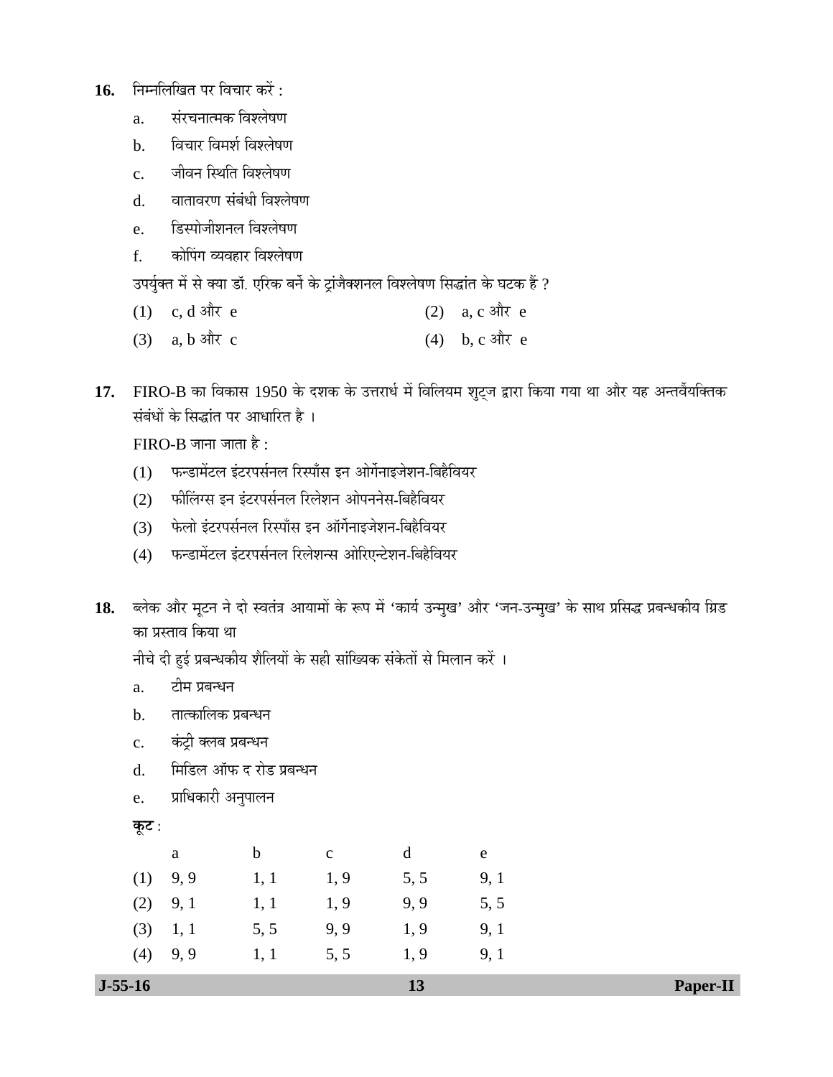- 16. Fiमलिखित पर विचार करें:
	- a. संरचनात्मक विश्लेषण
	- b. विचार विमर्श विश्लेषण
	- c. जीवन स्थिति विश्लेषण
	- d. वातावरण संबंधी विश्लेषण
	- e. हिस्पोजीशनल विश्लेषण
	- f. anेपिंग व्यवहार विश्लेषण

उपर्युक्त में से क्या डॉ. एरिक बर्ने के ट्रांजैक्शनल विश्लेषण सिद्धांत के घटक हैं ?

- (1) c, d और e (2) a, c और e
- (3) a, b और c (4) b, c और e
- 17. FIRO-B का विकास 1950 के दशक के उत्तरार्ध में विलियम शुट्ज द्वारा किया गया था और यह अन्तर्वैयक्तिक संबंधों के सिद्धांत पर आधारित है ।

 $FIRO-B$  जाना जाता है :

- (1) फन्डामेंटल इंटरपर्सनल रिस्पॉंस इन ओर्गेनाइजेशन-बिहैवियर
- (2) फीलिंग्स इन इंटरपर्सनल रिलेशन ओपननेस-बिहैवियर
- (3) + फेलो इंटरपर्सनल रिस्पॉस इन ऑर्गेनाइजेशन-बिहैवियर
- (4) फन्डामेंटल इंटरपर्सनल रिलेशन्स ओरिएन्टेशन-बिहैवियर
- 18. ब्लेक और मूटन ने दो स्वतंत्र आयामों के रूप में 'कार्य उन्मुख' और 'जन-उन्मुख' के साथ प्रसिद्ध प्रबन्धकीय ग्रिड का प्रस्ताव किया था

नीचे दी हुई प्रबन्धकीय शैलियों के सही सांख्यिक संकेतों से मिलान करें ।

- a. टीम प्रबन्धन
- $b_{i}$  तात्कालिक प्रबन्धन
- c. कंट्री क्लब प्रबन्धन
- d. क्विडिल ऑफ द रोड प्रबन्धन
- e. प्राधिकारी अनुपालन

```
<u>क</u>ूट :
```

|     | a    | b    | $\mathbf{c}$ | d    | e    |
|-----|------|------|--------------|------|------|
| (1) | 9, 9 | 1, 1 | 1,9          | 5, 5 | 9, 1 |
| (2) | 9, 1 | 1, 1 | 1,9          | 9,9  | 5, 5 |
| (3) | 1, 1 | 5, 5 | 9.9          | 1,9  | 9, 1 |
| (4) | 9,9  | 1, 1 | 5, 5         | 1, 9 | 9, 1 |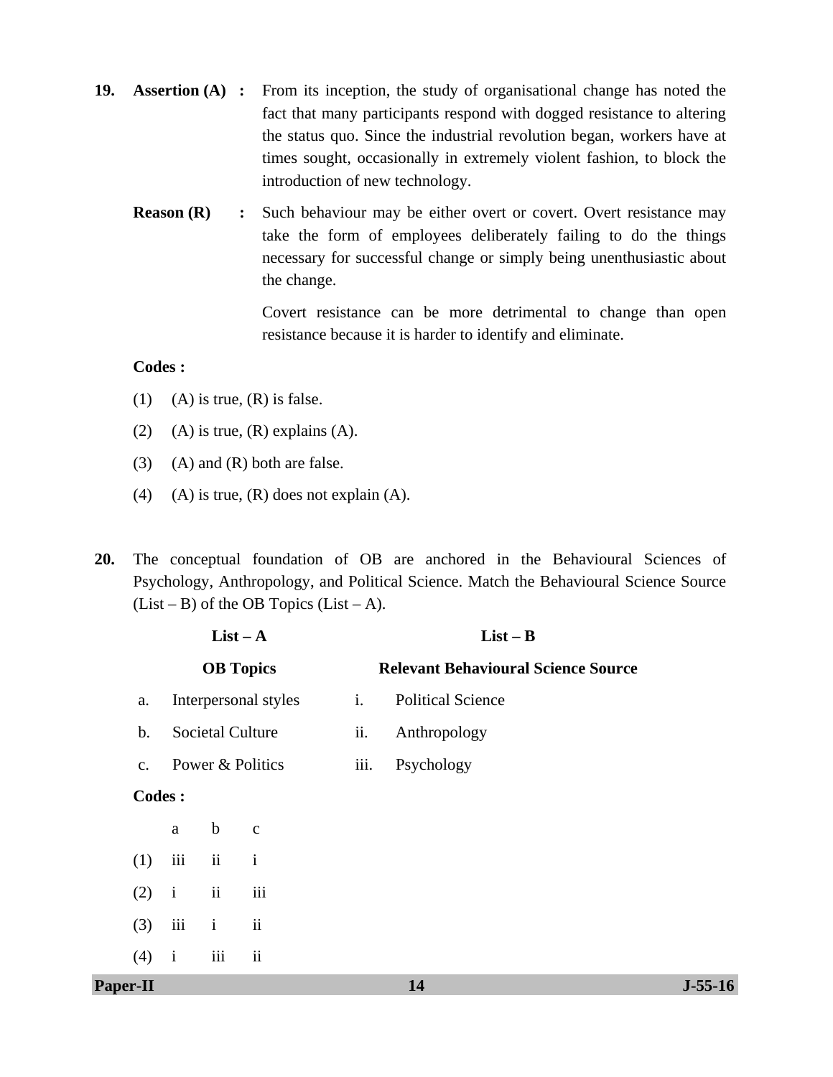- **19. Assertion (A)** : From its inception, the study of organisational change has noted the fact that many participants respond with dogged resistance to altering the status quo. Since the industrial revolution began, workers have at times sought, occasionally in extremely violent fashion, to block the introduction of new technology.
	- **Reason (R)** : Such behaviour may be either overt or covert. Overt resistance may take the form of employees deliberately failing to do the things necessary for successful change or simply being unenthusiastic about the change.

Covert resistance can be more detrimental to change than open resistance because it is harder to identify and eliminate.

# **Codes :**

- (1) (A) is true,  $(R)$  is false.
- (2) (A) is true,  $(R)$  explains  $(A)$ .
- $(3)$  (A) and  $(R)$  both are false.
- (4) (A) is true,  $(R)$  does not explain  $(A)$ .
- **20.** The conceptual foundation of OB are anchored in the Behavioural Sciences of Psychology, Anthropology, and Political Science. Match the Behavioural Science Source  $(List - B)$  of the OB Topics  $(List - A)$ .

| $List-A$        |  |               |                  |                         |      | $List - B$                                 |           |
|-----------------|--|---------------|------------------|-------------------------|------|--------------------------------------------|-----------|
|                 |  |               | <b>OB</b> Topics |                         |      | <b>Relevant Behavioural Science Source</b> |           |
| a.              |  |               |                  | Interpersonal styles    | i.   | <b>Political Science</b>                   |           |
| $\mathbf b$ .   |  |               |                  | <b>Societal Culture</b> | ii.  | Anthropology                               |           |
| c.              |  |               |                  | Power & Politics        | iii. | Psychology                                 |           |
|                 |  | <b>Codes:</b> |                  |                         |      |                                            |           |
|                 |  | $\mathbf{a}$  | $\mathbf b$      | $\mathbf{C}$            |      |                                            |           |
| (1)             |  | iii           | ii               | $\mathbf{i}$            |      |                                            |           |
| (2)             |  | $\mathbf{i}$  | ii               | iii                     |      |                                            |           |
| (3)             |  | iii           | $\mathbf{i}$     | ii                      |      |                                            |           |
| (4)             |  | $\mathbf{i}$  | iii              | $\ddot{\rm ii}$         |      |                                            |           |
| <b>Paper-II</b> |  |               |                  |                         |      | 14                                         | $J-55-16$ |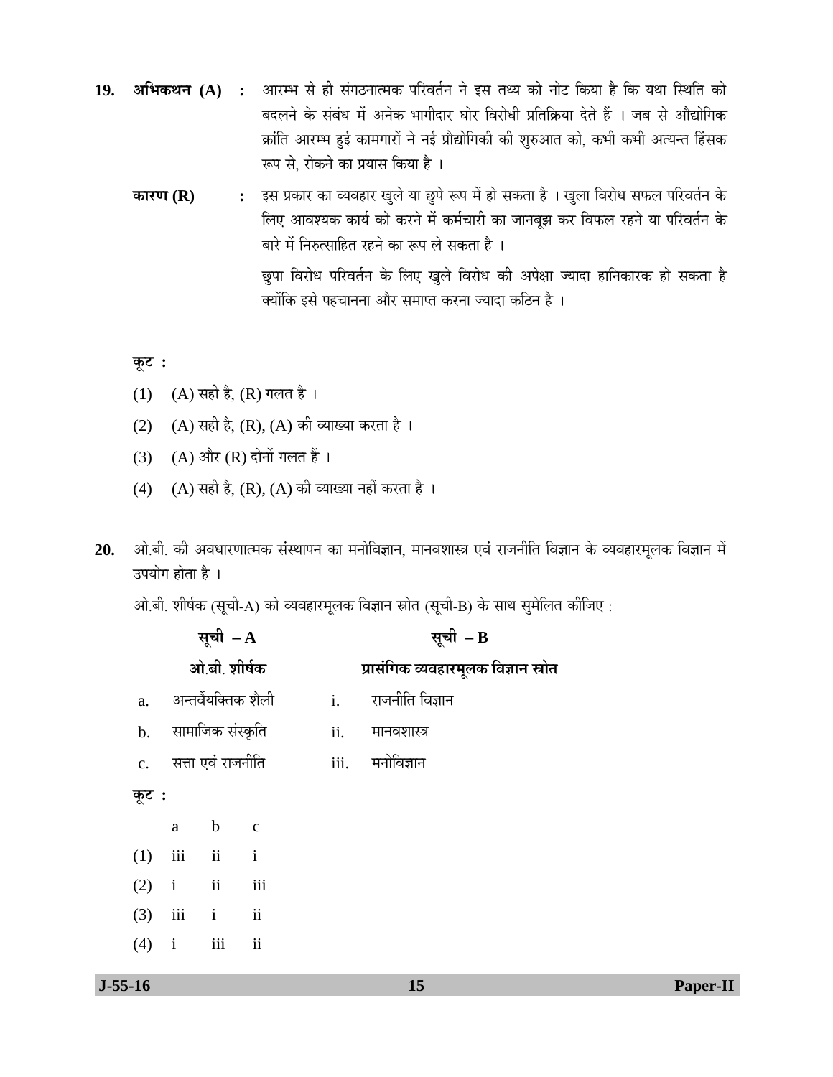- 19. अभिकथन (A) : आरम्भ से ही संगठनात्मक परिवर्तन ने इस तथ्य को नोट किया है कि यथा स्थिति को बदलने के संबंध में अनेक भागीदार घोर विरोधी प्रतिक्रिया देते हैं । जब से औद्योगिक क्रांति आरम्भ हई कामगारों ने नई प्रौद्योगिकी की शुरुआत को, कभी कभी अत्यन्त हिंसक रूप से, रोकने का प्रयास किया है ।
	- **कारण (R) :** इस प्रकार का व्यवहार खुले या छुपे रूप में हो सकता है । खुला विरोध सफल परिवर्तन के लिए आवश्यक कार्य को करने में कर्मचारी का जानबूझ कर विफल रहने या परिवर्तन के बारे में निरुत्साहित रहने का रूप ले सकता है । <u>छु</u>पा विरोध परिवर्तन के लिए खुले विरोध की अपेक्षा ज्यादा हानिकारक हो सकता है क्योंकि इसे पहचानना और समाप्त करना ज्यादा कठिन है<sup>।</sup>

# **Ûæú™ü :**

- (1) (A) सही है, (R) गलत है ।
- (2)  $(A)$  सही है,  $(R)$ ,  $(A)$  की व्याख्या करता है।
- (3) (A) और (R) दोनों गलत हैं ।
- (4) (A) सही है, (R), (A) की व्याख्या नहीं करता है ।
- 20. ओ.बी. की अवधारणात्मक संस्थापन का मनोविज्ञान, मानवशास्त्र एवं राजनीति विज्ञान के व्यवहारमूलक विज्ञान में उपयोग होता है ।

ओ.बी. शीर्षक (सूची-A) को व्यवहारमूलक विज्ञान स्रोत (सूची-B) के साथ सुमेलित कीजिए :

|                |              | सूची $- A$          |                         |      | सूची $-$ B                          |
|----------------|--------------|---------------------|-------------------------|------|-------------------------------------|
|                |              | ओ बी. शीर्षक        |                         |      | प्रासंगिक व्यवहारमूलक विज्ञान स्रोत |
| a.             |              | अन्तर्वैयक्तिक शैली |                         | i.   | राजनीति विज्ञान                     |
| $\mathbf{b}$ . |              | सामाजिक संस्कृति    |                         | ii.  | मानवशास्त्र                         |
| $\mathbf{c}$ . |              | सत्ता एवं राजनीति   |                         | iii. | मनोविज्ञान                          |
| कूट :          |              |                     |                         |      |                                     |
|                | a            | $\mathbf b$         | $\overline{c}$          |      |                                     |
| (1)            |              | iii ii i            |                         |      |                                     |
| (2)            | $i$ $ii$     |                     | iii                     |      |                                     |
| (3)            |              | iii i ii            |                         |      |                                     |
| (4)            | $\mathbf{i}$ | iii                 | $\overline{\mathbf{u}}$ |      |                                     |
|                |              |                     |                         |      |                                     |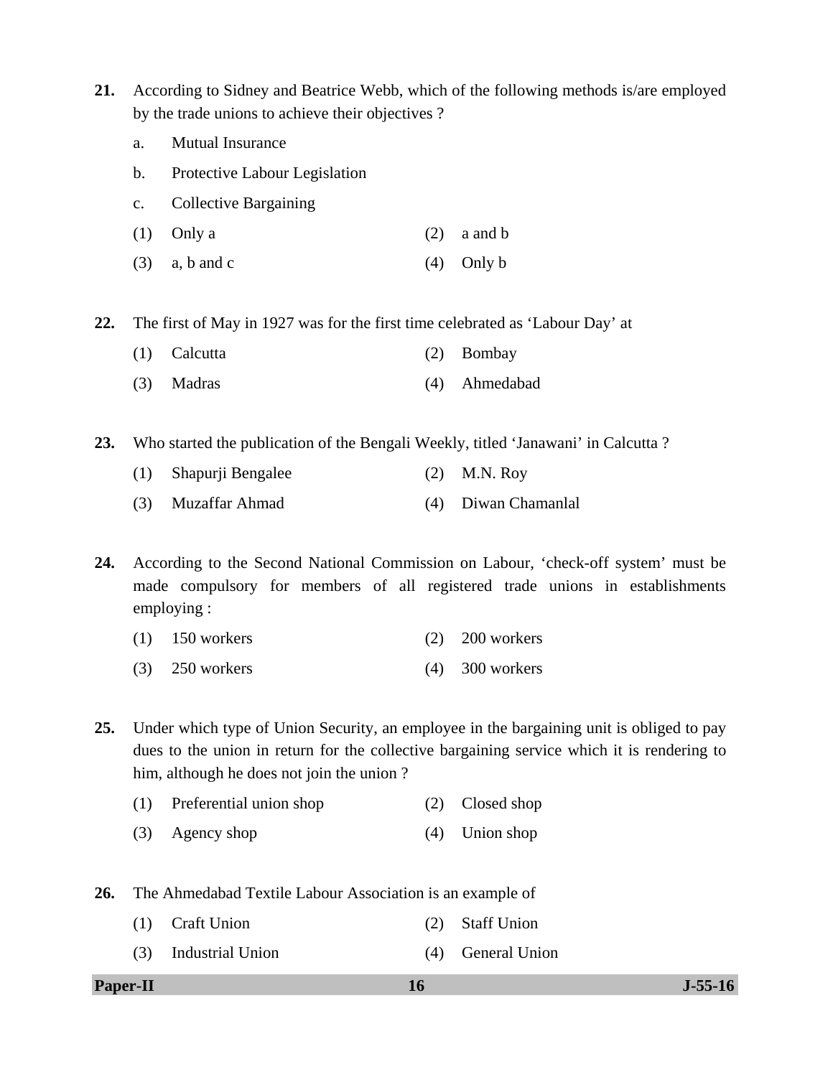- **21.** According to Sidney and Beatrice Webb, which of the following methods is/are employed by the trade unions to achieve their objectives ?
	- a. Mutual Insurance
	- b. Protective Labour Legislation
	- c. Collective Bargaining
	- (1) Only a (2) a and b
	- (3) a, b and c (4) Only b

**22.** The first of May in 1927 was for the first time celebrated as 'Labour Day' at

- (1) Calcutta (2) Bombay
- (3) Madras (4) Ahmedabad

**23.** Who started the publication of the Bengali Weekly, titled 'Janawani' in Calcutta ?

- (1) Shapurji Bengalee (2) M.N. Roy
- (3) Muzaffar Ahmad (4) Diwan Chamanlal

**24.** According to the Second National Commission on Labour, 'check-off system' must be made compulsory for members of all registered trade unions in establishments employing :

- (1) 150 workers (2) 200 workers
- (3) 250 workers (4) 300 workers

**25.** Under which type of Union Security, an employee in the bargaining unit is obliged to pay dues to the union in return for the collective bargaining service which it is rendering to him, although he does not join the union ?

- (1) Preferential union shop (2) Closed shop
- (3) Agency shop (4) Union shop

**26.** The Ahmedabad Textile Labour Association is an example of

- (1) Craft Union (2) Staff Union
- (3) Industrial Union (4) General Union

**Paper-II 16** J-55-16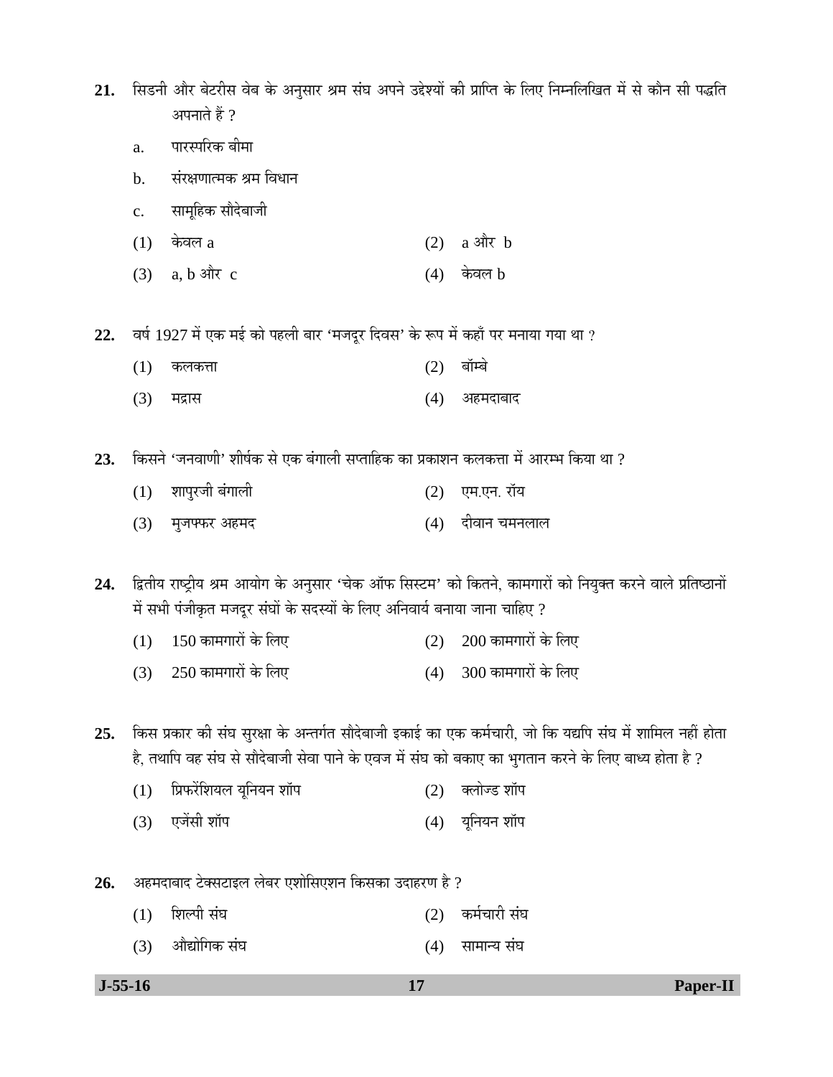21. सिडनी और बेटरीस वेब के अनुसार श्रम संघ अपने उद्देश्यों की प्राप्ति के लिए निम्नलिखित में से कौन सी पद्धति अपनाते हैं ?

- a. पारस्परिक बीमा
- b. संरक्षणात्मक श्रम विधान
- c. सामूहिक सौदेबाजी
- $(1)$  केवल a (2) a और b
- $(3)$  a, b और c  $(4)$  केवल b

22. वर्ष 1927 में एक मई को पहली बार 'मजदूर दिवस' के रूप में कहाँ पर मनाया गया था ?

- (1) कलकत्ता (2) बॉम्बे
- (3) ´Ö¦üÖÃÖ (4) †Æü´Ö¤üÖ²ÖÖ¤ü

23. किसने 'जनवाणी' शीर्षक से एक बंगाली सप्ताहिक का प्रकाशन कलकत्ता में आरम्भ किया था ?

(1) शापुरजी बंगाली (2) एम.एन. रॉय (3) मुजफ्फर अहमद (4) दीवान चमनलाल

24. द्वितीय राष्ट्रीय श्रम आयोग के अनुसार 'चेक ऑफ सिस्टम' को कितने, कामगारों को नियुक्त करने वाले प्रतिष्ठानों में सभी पंजीकृत मजदूर संघों के सदस्यों के लिए अनिवार्य बनाया जाना चाहिए ?

- $(1)$   $150$  कामगारों के लिए  $(2)$   $200$  कामगारों के लिए
- (3)  $250$  कामगारों के लिए  $(4)$   $300$  कामगारों के लिए

25. किस प्रकार की संघ सुरक्षा के अन्तर्गत सौदेबाजी इकाई का एक कर्मचारी, जो कि यद्यपि संघ में शामिल नहीं होता हे, तथापि वह संघ से सौदेबाजी सेवा पाने के एवज में संघ को बकाए का भुगतान करने के लिए बाध्य होता है ?

- $(1)$  प्रिफरेंशियल यूनियन शॉप $(2)$  क्लोज्ड शॉप
- (3) ‹•ÖëÃÖß ¿ÖÖò¯Ö (4) µÖæ×®ÖµÖ®Ö ¿ÖÖò¯Ö
- 26. अहमदाबाद टेक्सटाइल लेबर एशोसिएशन किसका उदाहरण है ?
	- (1) ׿ֻ¯Öß ÃÖÓ'Ö (2) Ûú´ÖÔ"ÖÖ¸üß ÃÖÓ'Ö (3) औद्योगिक संघ (4) सामान्य संघ
-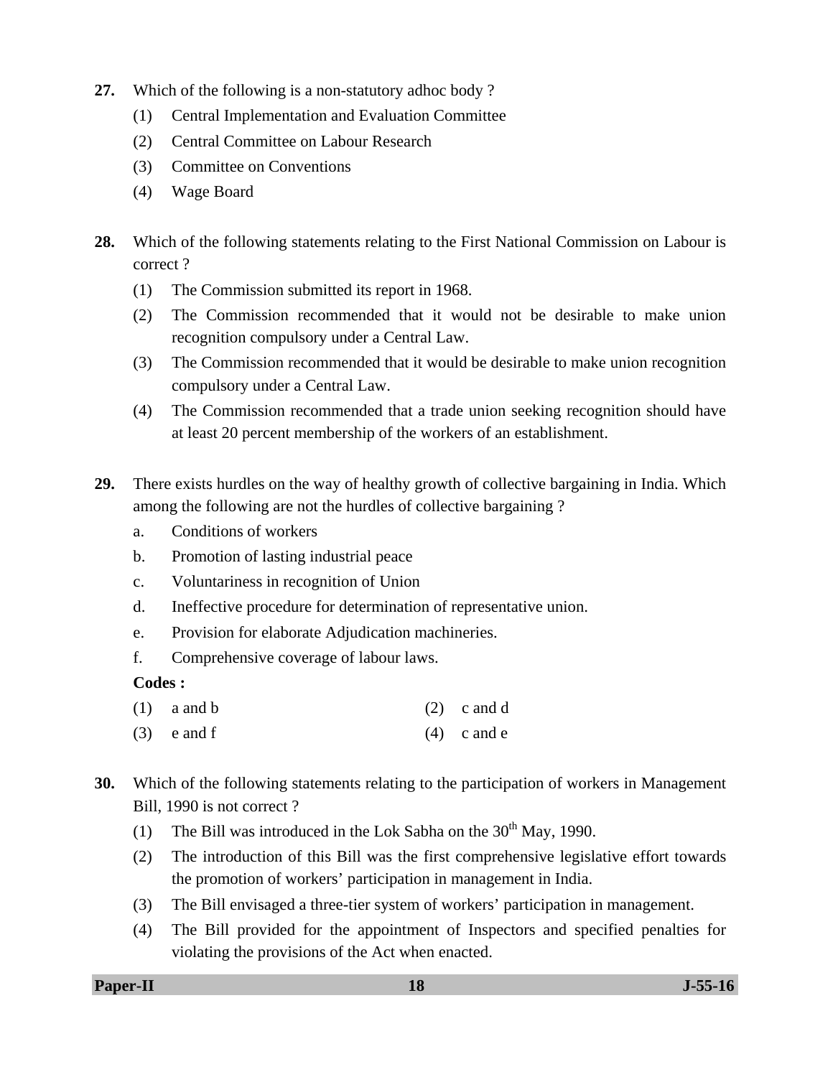- **27.** Which of the following is a non-statutory adhoc body ?
	- (1) Central Implementation and Evaluation Committee
	- (2) Central Committee on Labour Research
	- (3) Committee on Conventions
	- (4) Wage Board
- **28.** Which of the following statements relating to the First National Commission on Labour is correct ?
	- (1) The Commission submitted its report in 1968.
	- (2) The Commission recommended that it would not be desirable to make union recognition compulsory under a Central Law.
	- (3) The Commission recommended that it would be desirable to make union recognition compulsory under a Central Law.
	- (4) The Commission recommended that a trade union seeking recognition should have at least 20 percent membership of the workers of an establishment.
- **29.** There exists hurdles on the way of healthy growth of collective bargaining in India. Which among the following are not the hurdles of collective bargaining ?
	- a. Conditions of workers
	- b. Promotion of lasting industrial peace
	- c. Voluntariness in recognition of Union
	- d. Ineffective procedure for determination of representative union.
	- e. Provision for elaborate Adjudication machineries.
	- f. Comprehensive coverage of labour laws.

# **Codes :**

- (1) a and b (2) c and d
- (3) e and f (4) c and e
- **30.** Which of the following statements relating to the participation of workers in Management Bill, 1990 is not correct ?
	- (1) The Bill was introduced in the Lok Sabha on the  $30<sup>th</sup>$  May, 1990.
	- (2) The introduction of this Bill was the first comprehensive legislative effort towards the promotion of workers' participation in management in India.
	- (3) The Bill envisaged a three-tier system of workers' participation in management.
	- (4) The Bill provided for the appointment of Inspectors and specified penalties for violating the provisions of the Act when enacted.

**Paper-II 18** J-55-16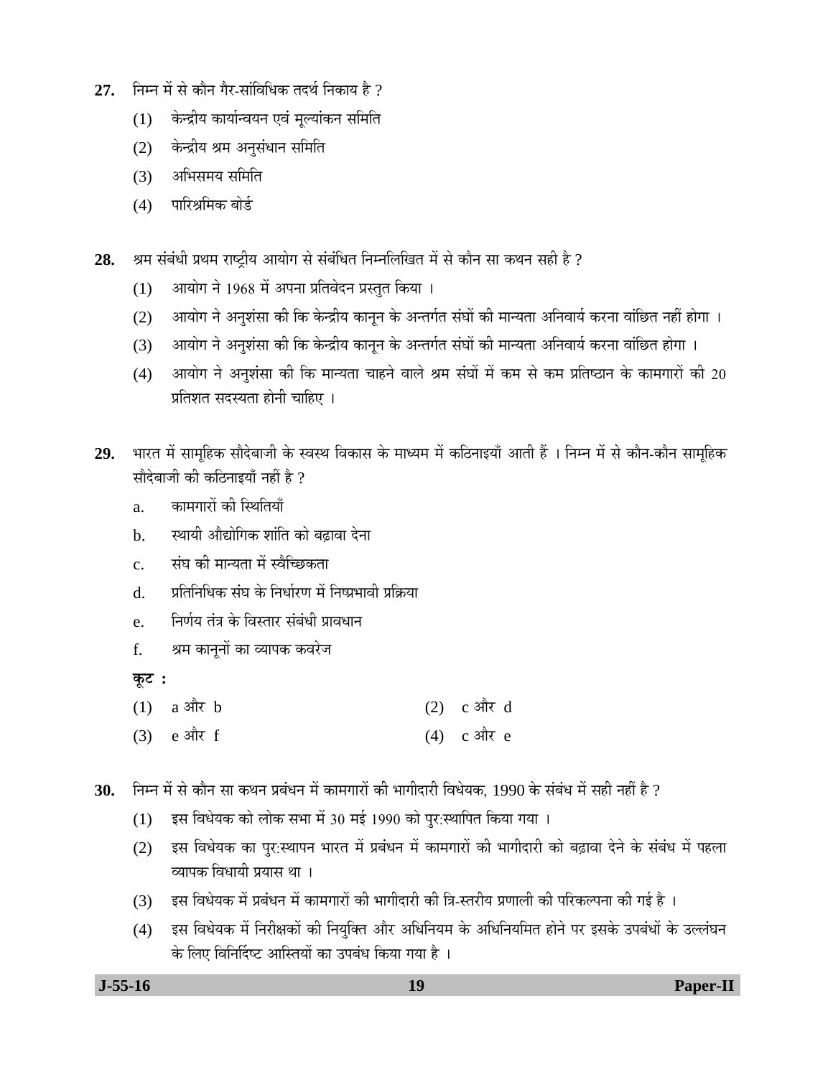- $27.$   $\,$  निम्न में से कौन गैर-सांविधिक तदर्थ निकाय है  $\,$  ?
	- (1) केन्द्रीय कार्यान्वयन एवं मूल्यांकन समिति
	- (2) केन्द्रीय श्रम अनुसंधान समिति
	- $(3)$  अभिसमय समिति
	- $(4)$  पारिश्रमिक बोर्द

28. <sup>94</sup> अम संबंधी प्रथम राष्ट्रीय आयोग से संबंधित निम्नलिखित में से कौन सा कथन सही है ?

- $(1)$  आयोग ने 1968 में अपना प्रतिवेदन प्रस्तुत किया ।
- (2) आयोग ने अनुशंसा की कि केन्द्रीय कानून के अन्तर्गत संघों की मान्यता अनिवार्य करना वांछित नहीं होगा ।
- (3) आयोग ने अनुशंसा की कि केन्द्रीय कानून के अन्तर्गत संघों की मान्यता अनिवार्य करना वांछित होगा ।
- (4) आयोग ने अनुशंसा की कि मान्यता चाहने वाले श्रम संघों में कम से कम प्रतिष्ठान के कामगारों की 20 प्रतिशत सदस्यता होनी चाहिए ।
- 29. भारत में सामूहिक सौदेबाजी के स्वस्थ विकास के माध्यम में कठिनाइयाँ आती हैं । निम्न में से कौन-कौन सामूहिक सौदेबाजी की कठिनाइयाँ नहीं है ?
	- a. कामगारों की स्थितियाँ
	- b. स्थायी औद्योगिक शांति को बढावा देना
	- c. संघ की मान्यता में स्वैच्छिकता
	- d. प्रतिनिधिक संघ के निर्धारण में निष्प्रभावी प्रक्रिया
	- e. निर्णय तंत्र के विस्तार संबंधी प्रावधान
	- f. श्रम कानूनों का व्यापक कवरेज

**Ûæú™ü :** 

- $(1)$  a और b  $(2)$  c और d
- $(3)$  e और f (4) c और e
- 30. Fiम्न में से कौन सा कथन प्रबंधन में कामगारों की भागीदारी विधेयक, 1990 के संबंध में सही नहीं है ?
	- (1) इस विधेयक को लोक सभा में 30 मई 1990 को पुर:स्थापित किया गया ।
	- (2) इस विधेयक का पुर:स्थापन भारत में प्रबंधन में कामगारों की भागीदारी को बढ़ावा देने के संबंध में पहला व्यापक विधायी प्रयास था ।
	- (3) इस विधेयक में प्रबंधन में कामगारों की भागीदारी की त्रि-स्तरीय प्रणाली की परिकल्पना की गई है ।
	- (4) इस विधेयक में निरीक्षकों की नियुक्ति और अधिनियम के अधिनियमित होने पर इसके उपबंधों के उल्लंघन के लिए विनिर्दिष्ट आस्तियों का उपबंध किया गया है ।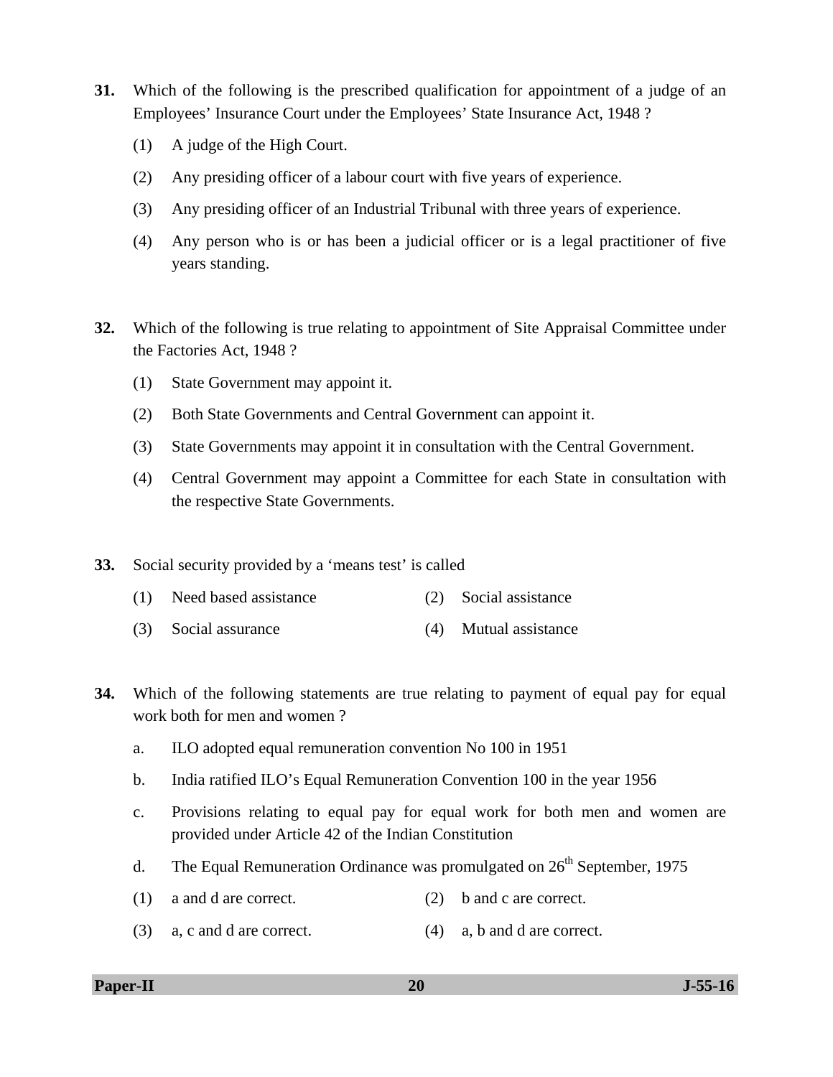- **31.** Which of the following is the prescribed qualification for appointment of a judge of an Employees' Insurance Court under the Employees' State Insurance Act, 1948 ?
	- (1) A judge of the High Court.
	- (2) Any presiding officer of a labour court with five years of experience.
	- (3) Any presiding officer of an Industrial Tribunal with three years of experience.
	- (4) Any person who is or has been a judicial officer or is a legal practitioner of five years standing.
- **32.** Which of the following is true relating to appointment of Site Appraisal Committee under the Factories Act, 1948 ?
	- (1) State Government may appoint it.
	- (2) Both State Governments and Central Government can appoint it.
	- (3) State Governments may appoint it in consultation with the Central Government.
	- (4) Central Government may appoint a Committee for each State in consultation with the respective State Governments.
- **33.** Social security provided by a 'means test' is called
	- (1) Need based assistance (2) Social assistance
	- (3) Social assurance (4) Mutual assistance
- **34.** Which of the following statements are true relating to payment of equal pay for equal work both for men and women ?
	- a. ILO adopted equal remuneration convention No 100 in 1951
	- b. India ratified ILO's Equal Remuneration Convention 100 in the year 1956
	- c. Provisions relating to equal pay for equal work for both men and women are provided under Article 42 of the Indian Constitution
	- d. The Equal Remuneration Ordinance was promulgated on  $26<sup>th</sup>$  September, 1975
	- (1) a and d are correct. (2) b and c are correct.
	- (3) a, c and d are correct. (4) a, b and d are correct.

**Paper-II 20 J-55-16**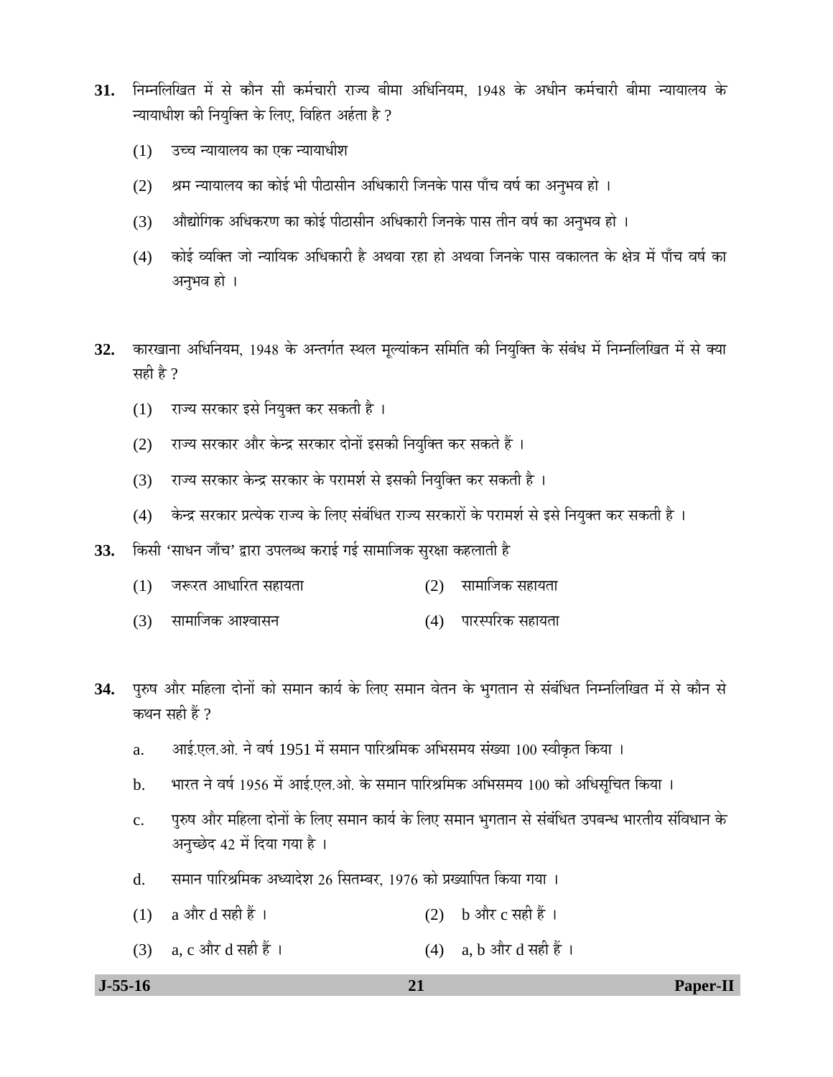- $31.$  निम्नलिखित में से कौन सी कर्मचारी राज्य बीमा अधिनियम, 1948 के अधीन कर्मचारी बीमा न्यायालय के न्यायाधीश की नियुक्ति के लिए, विहित अर्हता है ?
	- $(1)$  उच्च न्यायालय का एक न्यायाधीश
	- (2) श्रम न्यायालय का कोई भी पीठासीन अधिकारी जिनके पास पाँच वर्ष का अनुभव हो ।
	- (3) औद्योगिक अधिकरण का कोई पीठासीन अधिकारी जिनके पास तीन वर्ष का अनुभव हो ।
	- (4) कोई व्यक्ति जो न्यायिक अधिकारी है अथवा रहा हो अथवा जिनके पास वकालत के क्षेत्र में पाँच वर्ष का अनुभव हो ।
- 32. कारखाना अधिनियम, 1948 के अन्तर्गत स्थल मूल्यांकन समिति की नियुक्ति के संबंध में निम्नलिखित में से क्या सही है ?
	- (1) राज्य सरकार इसे नियुक्त कर सकती है।
	- (2) राज्य सरकार और केन्द्र सरकार दोनों इसकी नियुक्ति कर सकते हैं ।
	- (3) राज्य सरकार केन्द्र सरकार के परामर्श से इसकी नियुक्ति कर सकती है)।
	- (4) केन्द्र सरकार प्रत्येक राज्य के लिए संबंधित राज्य सरकारों के परामर्श से इसे नियुक्त कर सकती है ।
- 33. किसी 'साधन जाँच' द्वारा उपलब्ध कराई गई सामाजिक सुरक्षा कहलाती है
	- $(1)$  नरूरत आधारित सहायता  $(2)$  सामाजिक सहायता
	- (3) सामाजिक आश्वासन (4) पारस्परिक सहायता
- 34. पुरुष और महिला दोनों को समान कार्य के लिए समान वेतन के भुगतान से संबंधित निम्नलिखित में से कौन से कथन सही हैं  $\theta$ 
	- a. आई.एल.ओ. ने वर्ष 1951 में समान पारिश्रमिक अभिसमय संख्या 100 स्वीकृत किया ।
	- b. भारत ने वर्ष 1956 में आई.एल.ओ. के समान पारिश्रमिक अभिसमय 100 को अधिसूचित किया ।
	- c. पुरुष और महिला दोनों के लिए समान कार्य के लिए समान भुगतान से संबंधित उपबन्ध भारतीय संविधान के अनुच्छेद 42 में दिया गया है।
	- d. समान पारिश्रमिक अध्यादेश 26 सितम्बर, 1976 को प्रख्यापित किया गया ।
	- (1) a और d सही हैं ।  $(2)$  b और c सही हैं ।
	- (3) a, c और d सही हैं ।  $(4)$  a, b और d सही हैं ।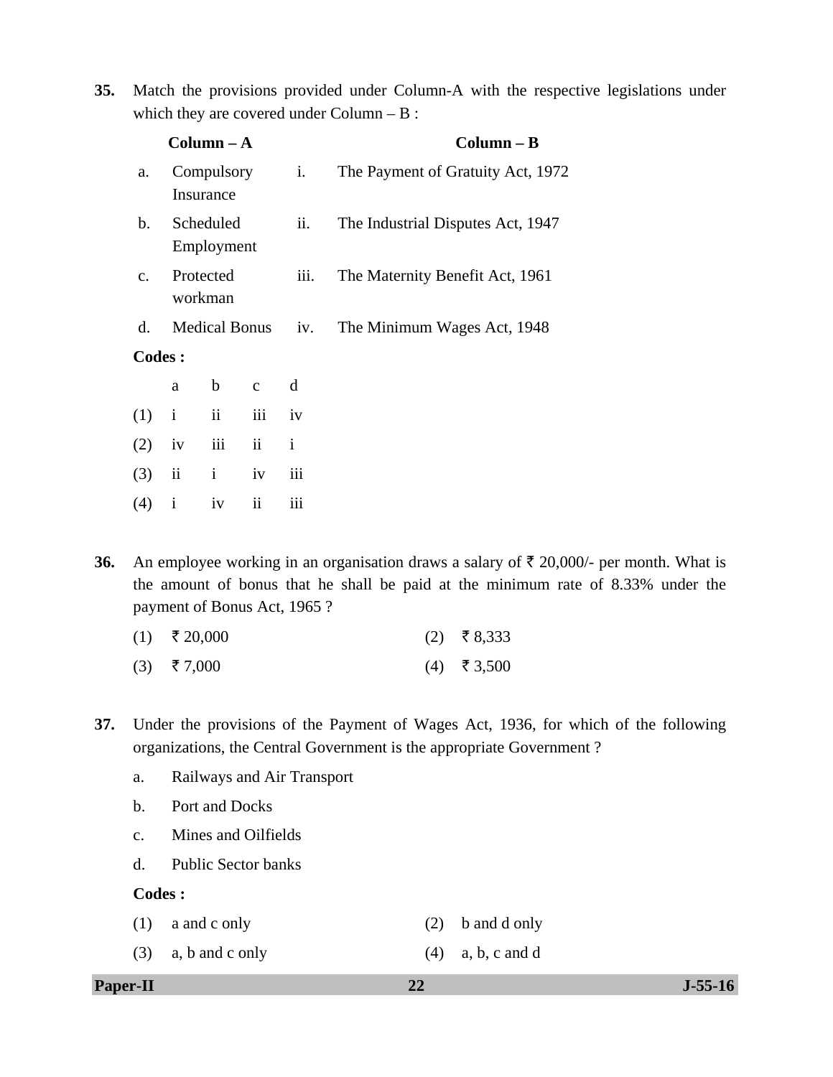**35.** Match the provisions provided under Column-A with the respective legislations under which they are covered under Column – B :

|                |                         | $Column - A$   |                          |                             | $Column - B$                      |  |  |
|----------------|-------------------------|----------------|--------------------------|-----------------------------|-----------------------------------|--|--|
| a.             | Compulsory<br>Insurance |                |                          | i.                          | The Payment of Gratuity Act, 1972 |  |  |
| $\mathbf{b}$ . | Scheduled<br>Employment |                |                          | ii.                         | The Industrial Disputes Act, 1947 |  |  |
| $\mathbf{c}$ . | Protected<br>workman    |                |                          | iii.                        | The Maternity Benefit Act, 1961   |  |  |
| d.             | <b>Medical Bonus</b>    |                | iv.                      | The Minimum Wages Act, 1948 |                                   |  |  |
| Codes :        |                         |                |                          |                             |                                   |  |  |
|                | a                       | $\mathbf b$    | $\mathbf{C}$             | d                           |                                   |  |  |
| (1)            | $\mathbf{i}$            | $\ddot{\rm i}$ | iii                      | iv                          |                                   |  |  |
| (2)            | iv                      | iii            | $\ddot{\mathbf{i}}$      | $\mathbf{i}$                |                                   |  |  |
| (3)            | ii                      | $\mathbf{i}$   | iv                       | iii                         |                                   |  |  |
| (4)            | $\mathbf{i}$            | iv             | $\overline{\textbf{ii}}$ | iii                         |                                   |  |  |

**36.** An employee working in an organisation draws a salary of  $\bar{\tau}$  20,000/- per month. What is the amount of bonus that he shall be paid at the minimum rate of 8.33% under the payment of Bonus Act, 1965 ?

| $(1)$ ₹ 20,000 |  | $(2)$ ₹8,333 |
|----------------|--|--------------|
|----------------|--|--------------|

- (3)  $\bar{\tau}$  7,000 (4)  $\bar{\tau}$  3,500
- **37.** Under the provisions of the Payment of Wages Act, 1936, for which of the following organizations, the Central Government is the appropriate Government ?
	- a. Railways and Air Transport
	- b. Port and Docks
	- c. Mines and Oilfields
	- d. Public Sector banks

**Codes :** 

| $(1)$ a and c only    | $(2)$ b and d only  |
|-----------------------|---------------------|
| $(3)$ a, b and c only | $(4)$ a, b, c and d |

**Paper-II 22 J-55-16**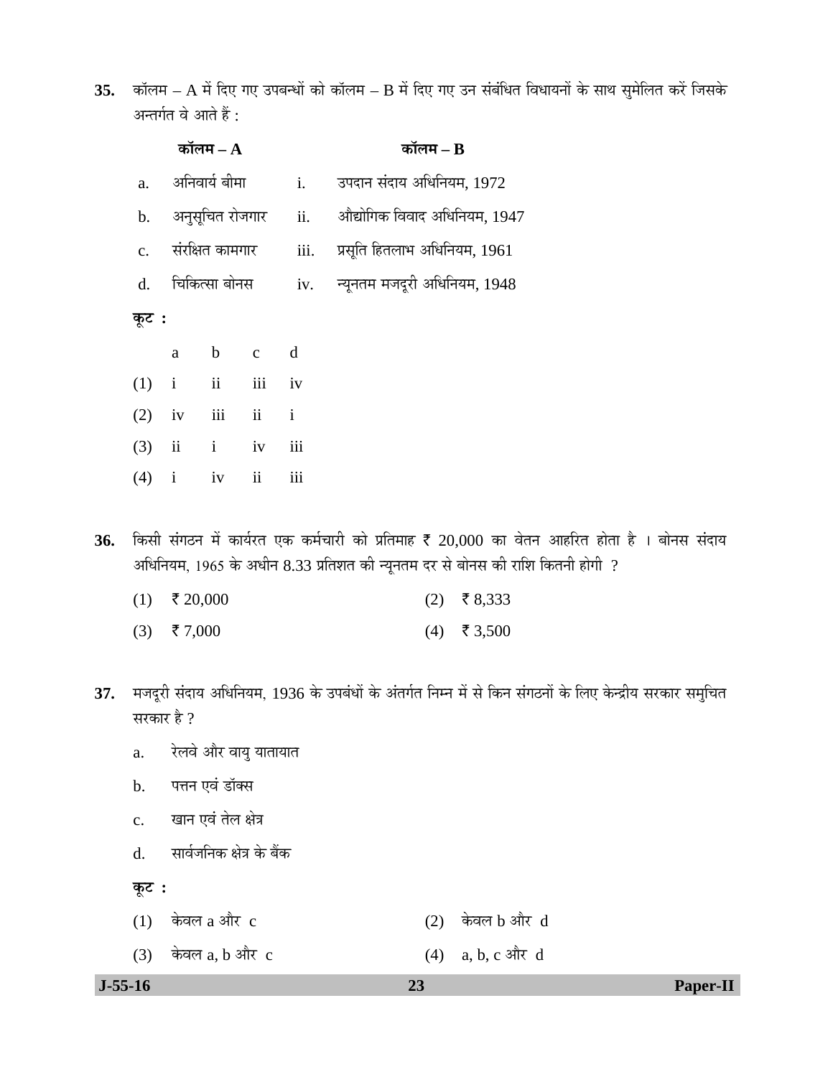35. कॉलम – A में दिए गए उपबन्धों को कॉलम – B में दिए गए उन संबंधित विधायनों के साथ सुमेलित करें जिसके अन्तर्गत वे आते हैं :

|                |                  | कॉलम $-A$                 |                                 | कॉलम $ \bf{B}$ |                                  |
|----------------|------------------|---------------------------|---------------------------------|----------------|----------------------------------|
| a.             |                  | अनिवार्य बीमा             |                                 | i.             | उपदान संदाय अधिनियम, 1972        |
|                |                  | b. अनुसूचित रोजगार        |                                 | ii.            | औद्योगिक विवाद अधिनियम, 1947     |
| $\mathbf{C}$ . | संरक्षित कामगार  |                           |                                 | iii.           | प्रसूति हितलाभ अधिनियम, 1961     |
|                | d. विकित्सा बोनस |                           |                                 |                | iv. न्यूनतम मजदूरी अधिनियम, 1948 |
| कूट :          |                  |                           |                                 |                |                                  |
|                | a                | $\mathbf b$               | $\mathbf{C}$                    | d              |                                  |
| (1)            | $\mathbf{i}$     |                           | ii iii iv                       |                |                                  |
| (2)            | iv               | $\overline{\mathbf{iii}}$ | $\overrightarrow{\textbf{i}}$ i |                |                                  |
| (3)            |                  | $ii$ $i$                  | iv                              | iii            |                                  |
|                |                  |                           |                                 |                |                                  |

 $36$ . किसी संगठन में कार्यरत एक कर्मचारी को प्रतिमाह ₹ 20,000 का वेतन आहरित होता है । बोनस संदाय अधिनियम, 1965 के अधीन 8.33 प्रतिशत की न्यूनतम दर से बोनस की राशि कितनी होगी  $\,$  ?

| $(1)$ ₹ 20,000 |  | $(2)$ ₹8,333 |
|----------------|--|--------------|
|                |  |              |

- (3)  $\bar{\tau}$  7,000 (4)  $\bar{\tau}$  3,500
- 37. मजदूरी संदाय अधिनियम, 1936 के उपबंधों के अंतर्गत निम्न में से किन संगठनों के लिए केन्द्रीय सरकार समुचित सरकार है ?
	- a. रेलवे और वायु यातायात

 $(4)$  i iv ii iii

- b. पत्तन एवं डॉक्स
- c. खान एवं तेल क्षेत्र
- d. सार्वजनिक क्षेत्र के बैंक
- **Ûæú™ü :**

| $(1)$ केवल a और c    | $(2)$ केवल b और $d$ |
|----------------------|---------------------|
| $(3)$ केवल a, b और c | $(4)$ a, b, c और d  |

 **J-55-16 23 Paper-II**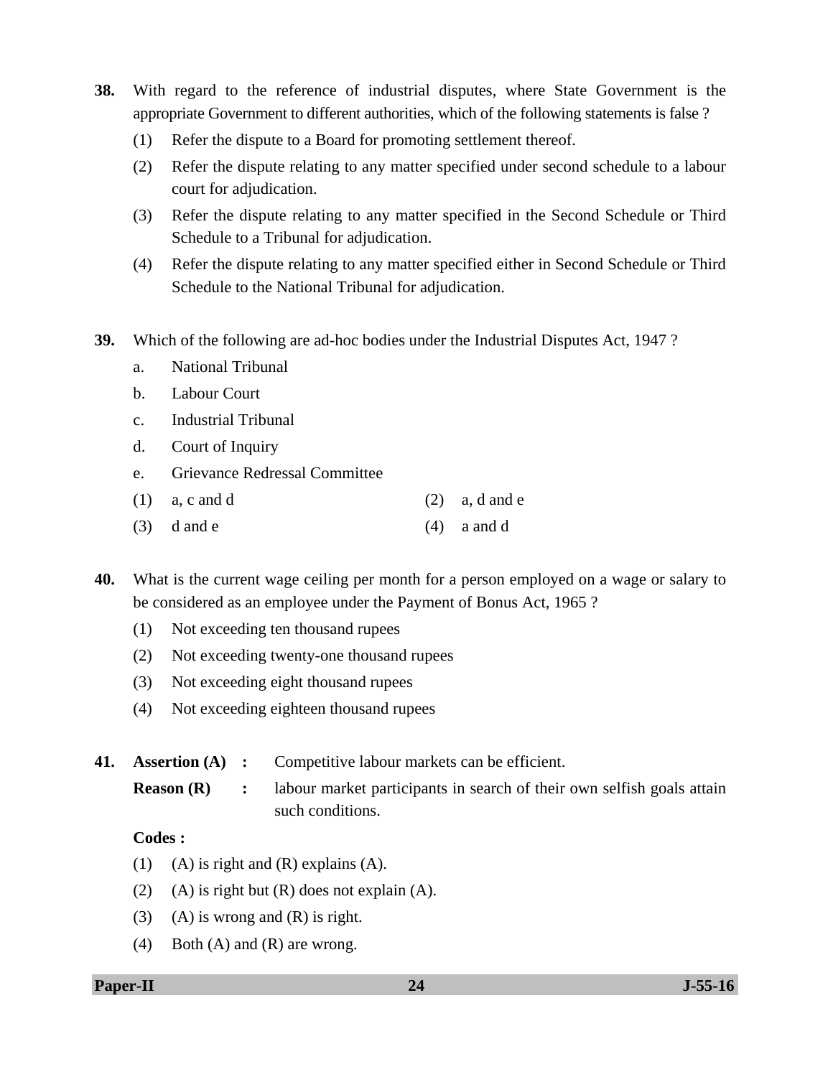- **38.** With regard to the reference of industrial disputes, where State Government is the appropriate Government to different authorities, which of the following statements is false ?
	- (1) Refer the dispute to a Board for promoting settlement thereof.
	- (2) Refer the dispute relating to any matter specified under second schedule to a labour court for adjudication.
	- (3) Refer the dispute relating to any matter specified in the Second Schedule or Third Schedule to a Tribunal for adjudication.
	- (4) Refer the dispute relating to any matter specified either in Second Schedule or Third Schedule to the National Tribunal for adjudication.
- **39.** Which of the following are ad-hoc bodies under the Industrial Disputes Act, 1947 ?
	- a. National Tribunal
	- b. Labour Court
	- c. Industrial Tribunal
	- d. Court of Inquiry
	- e. Grievance Redressal Committee
	- (1) a, c and d (2) a, d and e
	- $(3)$  d and e (4) a and d

**40.** What is the current wage ceiling per month for a person employed on a wage or salary to be considered as an employee under the Payment of Bonus Act, 1965 ?

- (1) Not exceeding ten thousand rupees
- (2) Not exceeding twenty-one thousand rupees
- (3) Not exceeding eight thousand rupees
- (4) Not exceeding eighteen thousand rupees

**41. Assertion (A)** : Competitive labour markets can be efficient.

**Reason (R)** : labour market participants in search of their own selfish goals attain such conditions.

# **Codes :**

- (1) (A) is right and  $(R)$  explains  $(A)$ .
- (2) (A) is right but  $(R)$  does not explain  $(A)$ .
- (3) (A) is wrong and  $(R)$  is right.
- (4) Both (A) and (R) are wrong.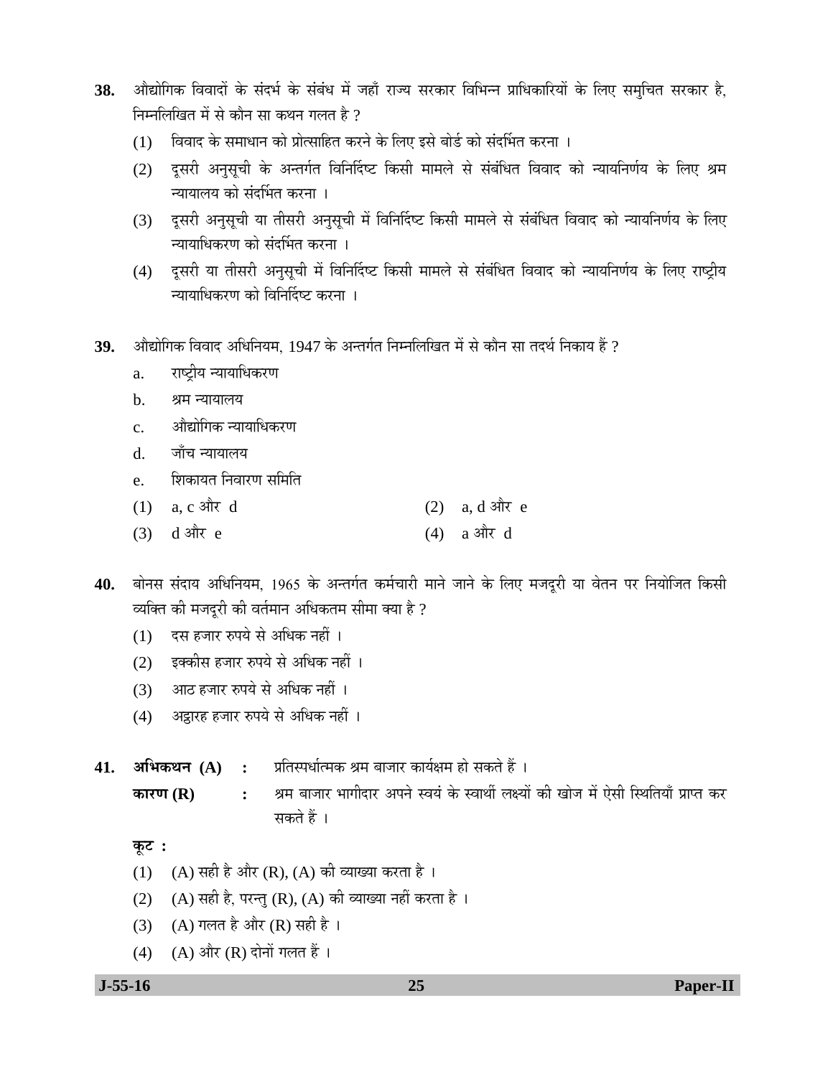- 38. औद्योगिक विवादों के संदर्भ के संबंध में जहाँ राज्य सरकार विभिन्न प्राधिकारियों के लिए समुचित सरकार है, निम्नलिखित में से कौन सा कथन गलत है ?
	- (1) विवाद के समाधान को प्रोत्साहित करने के लिए इसे बोर्ड को संदर्भित करना ।
	- (2) दूसरी अनुसूची के अन्तर्गत विनिर्दिष्ट किसी मामले से संबंधित विवाद को न्यायनिर्णय के लिए श्रम च्यायालय को संदर्भित करना ।
	- (3) दूसरी अनुसूची या तीसरी अनुसूची में विनिर्दिष्ट किसी मामले से संबंधित विवाद को न्यायनिर्णय के लिए च्यायाधिकरण को संदर्भित करना ।
	- (4) दूसरी या तीसरी अनुसुची में विनिर्दिष्ट किसी मामले से संबंधित विवाद को न्यायनिर्णय के लिए राष्ट्रीय <u>न्यायाधिकरण को विनिर्दिष्ट करना ।</u>
- $\bf 39.$  »औद्योगिक विवाद अधिनियम, 1947 के अन्तर्गत निम्नलिखित में से कौन सा तदर्थ निकाय हैं ?
	- a. राष्ट्रीय न्यायाधिकरण
	- b. श्रम न्यायालय
	- c. औद्योगिक न्यायाधिकरण
	- d. जाँच न्यायालय
	- e. बिंकायत निवारण समिति
	- $(1)$  a, c और d  $(2)$  a, d और e
	- $(3)$  d और e (4) a और d

40. बोनस संदाय अधिनियम, 1965 के अन्तर्गत कर्मचारी माने जाने के लिए मजदूरी या वेतन पर नियोजित किसी व्यक्ति की मजदुरी की वर्तमान अधिकतम सीमा क्या है ?

- $(1)$  दस हजार रुपये से अधिक नहीं ।
- (2) इक्कीस हजार रुपये से अधिक नहीं ।
- (3) आठ हजार रुपये से अधिक नहीं ।
- (4) अड्ठारह हजार रुपये से अधिक नहीं ।

**41. अभिकथन (A) :** प्रतिस्पर्धात्मक श्रम बाजार कार्यक्षम हो सकते हैं ।

**ÛúÖ¸üÞÖ (R) :** ÁÖ´Ö ²ÖÖ•ÖÖ¸ü ³ÖÖÝÖߤüÖ¸ü †¯Ö®Öê þֵÖÓ Ûêú þÖÖ£Öá »ÖõµÖÖë Ûúß ÜÖÖê•Ö ´Öë ‹êÃÖß ×ãÖןֵÖÖÑ ¯ÖÏÖ¯ŸÖ Ûú¸ü सकते हैं ।

 $\Phi$ **:** 

- (1) (A) सही है और (R), (A) की व्याख्या करता है।
- (2) (A) सही है, परन्तु (R), (A) की व्याख्या नहीं करता है ।
- (3) (A) गलत है और (R) सही है ।
- (4) (A) और (R) दोनों गलत हैं ।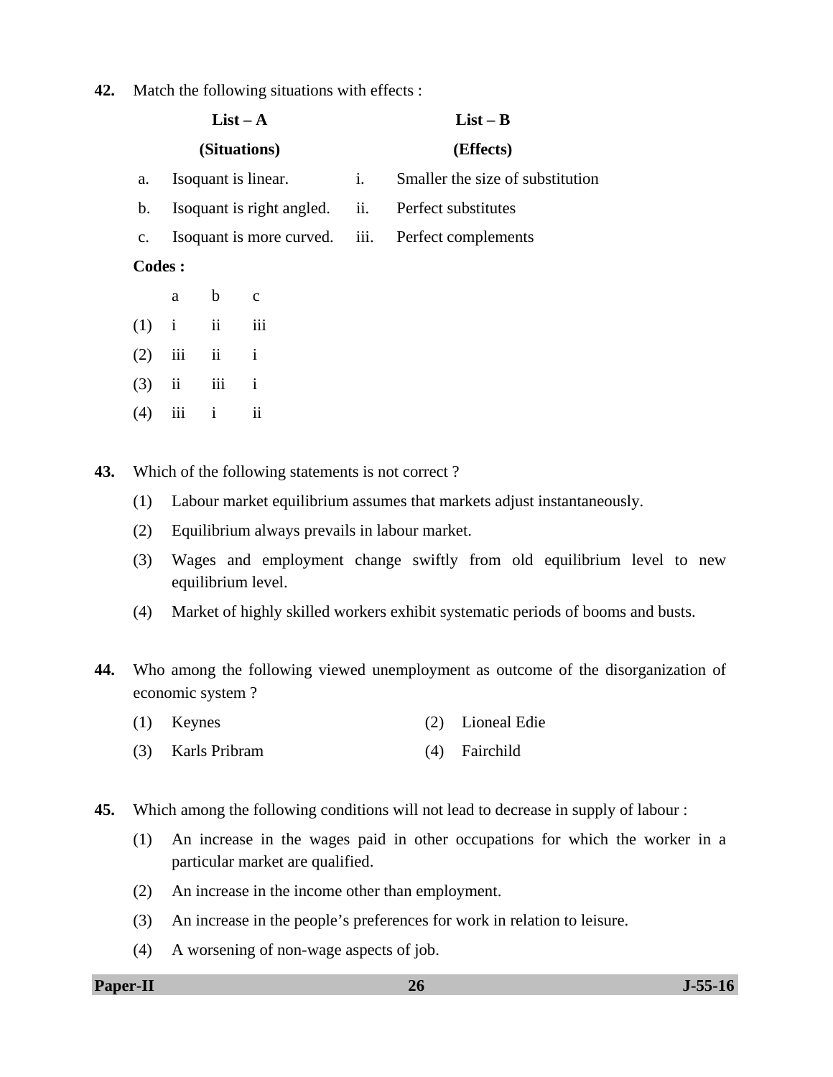**42.** Match the following situations with effects :

|               |                         |                     | $List - A$                |                | $List - B$                       |
|---------------|-------------------------|---------------------|---------------------------|----------------|----------------------------------|
|               |                         |                     | (Situations)              |                | (Effects)                        |
| a.            |                         |                     | Isoquant is linear.       | $\mathbf{i}$ . | Smaller the size of substitution |
| b.            |                         |                     | Isoquant is right angled. | ii.            | Perfect substitutes              |
| c.            |                         |                     | Isoquant is more curved.  | iii.           | Perfect complements              |
| <b>Codes:</b> |                         |                     |                           |                |                                  |
|               | a                       | $\mathbf b$         | $\mathbf{C}$              |                |                                  |
| (1)           | $\mathbf{i}$            | ii                  | iii                       |                |                                  |
| (2)           | iii                     | $\ddot{\mathbf{i}}$ | $\mathbf{i}$              |                |                                  |
| (3)           | $\overline{\mathbf{u}}$ | iii                 | $\mathbf{i}$              |                |                                  |
| (4)           | iii                     | $\mathbf{i}$        | ii                        |                |                                  |
|               |                         |                     |                           |                |                                  |

**43.** Which of the following statements is not correct ?

- (1) Labour market equilibrium assumes that markets adjust instantaneously.
- (2) Equilibrium always prevails in labour market.
- (3) Wages and employment change swiftly from old equilibrium level to new equilibrium level.
- (4) Market of highly skilled workers exhibit systematic periods of booms and busts.
- **44.** Who among the following viewed unemployment as outcome of the disorganization of economic system ?
	- (1) Keynes (2) Lioneal Edie
	- (3) Karls Pribram (4) Fairchild
- **45.** Which among the following conditions will not lead to decrease in supply of labour :
	- (1) An increase in the wages paid in other occupations for which the worker in a particular market are qualified.
	- (2) An increase in the income other than employment.
	- (3) An increase in the people's preferences for work in relation to leisure.
	- (4) A worsening of non-wage aspects of job.

**Paper-II 26** J-55-16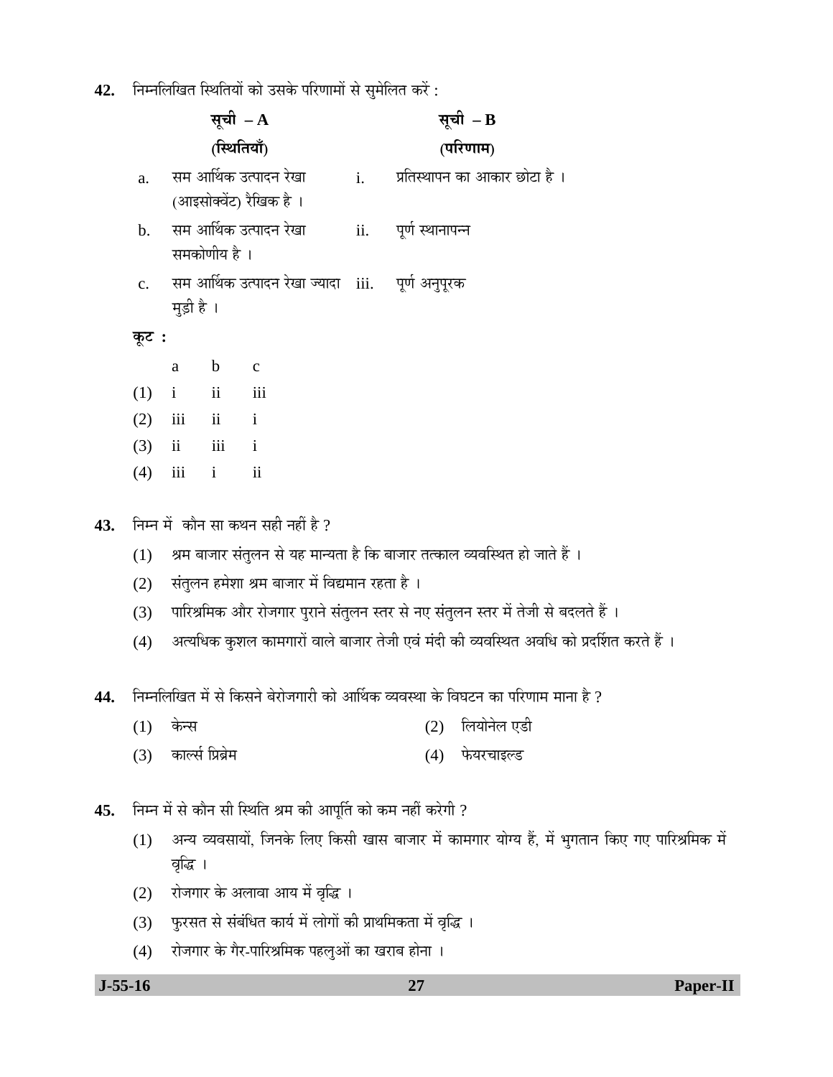42. Fiम्नलिखित स्थितियों को उसके परिणामों से सुमेलित करें:

|                |              | सूची $- A$     |                                                  | सूची $-B$                               |
|----------------|--------------|----------------|--------------------------------------------------|-----------------------------------------|
|                |              | (स्थितियाँ)    |                                                  | (परिणाम)                                |
| $\mathbf{a}$ . |              |                | सम आर्थिक उत्पादन रेखा                           | i.        प्रतिस्थापन का आकार छोटा है । |
|                |              |                | (आइसोक्वेंट) रैखिक है ।                          |                                         |
| $\mathbf{b}$ . |              |                | सम आर्थिक उत्पादन रेखा                           | ii. पूर्ण स्थानापन्न                    |
|                |              | समकोणीय है ।   |                                                  |                                         |
| $\mathbf{c}$ . |              |                | सम आर्थिक उत्पादन रेखा ज्यादा iii. पूर्ण अनुपूरक |                                         |
|                | मुड़ी है ।   |                |                                                  |                                         |
| कूट :          |              |                |                                                  |                                         |
|                | a            | $\mathbf b$    | $\mathbf c$                                      |                                         |
| (1)            | $i$ ii       |                | iii                                              |                                         |
|                |              | $(2)$ iii ii i |                                                  |                                         |
|                | $(3)$ ii iii |                | $\mathbf{i}$                                     |                                         |
| (4)            | iii          | i              | $\mathbf{ii}$                                    |                                         |

43. ਜਿਸ में कौन सा कथन सही नहीं है ?

- (1) श्रम बाजार संतुलन से यह मान्यता है कि बाजार तत्काल व्यवस्थित हो जाते हैं ।
- (2) संतुलन हमेशा श्रम बाजार में विद्यमान रहता है)।
- (3) जिएश्रिमिक और रोजगार पुराने संतुलन स्तर से नए संतुलन स्तर में तेजी से बदलते हैं ।
- (4) अत्यधिक कुशल कामगारों वाले बाजार तेजी एवं मंदी की व्यवस्थित अवधि को प्रदर्शित करते हैं ।

44. निम्नलिखित में से किसने बेरोजगारी को आर्थिक व्यवस्था के विघटन का परिणाम माना है ?

- $(1)$  केन्स  $(2)$  लियोनेल एडी
- (3) ÛúÖ»ÃÖÔ ×¯ÖϲÖÎê´Ö (4) ±êúµÖ¸ü"ÖÖ‡»›ü

45. निम्न में से कौन सी स्थिति श्रम की आपूर्ति को कम नहीं करेगी ?

- (1) अन्य व्यवसायों, जिनके लिए किसी खास बाजार में कामगार योग्य हैं, में भुगतान किए गए पारिश्रमिक में वृद्धि ।
- (2) रोजगार के अलावा आय में वृद्धि ।
- (3) पुरसत से संबंधित कार्य में लोगों की प्राथमिकता में वृद्धि ।
- (4) रोजगार के गैर-पारिश्रमिक पहलुओं का खराब होना ।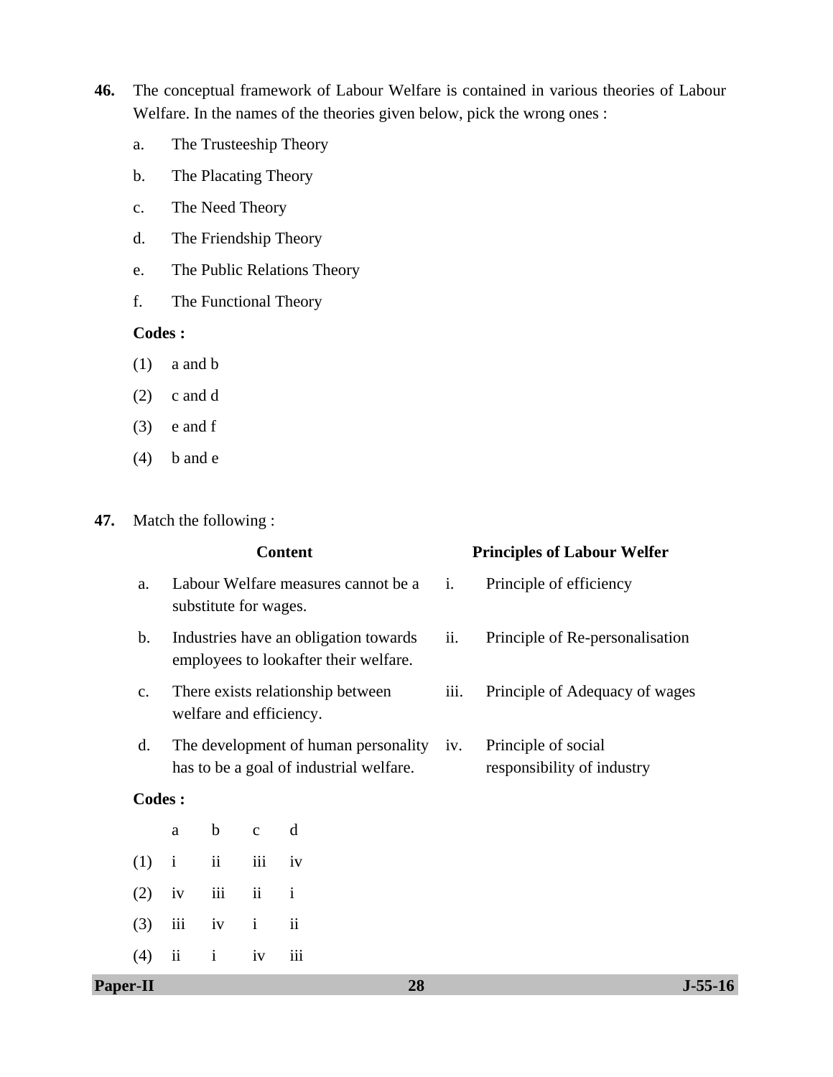- **46.** The conceptual framework of Labour Welfare is contained in various theories of Labour Welfare. In the names of the theories given below, pick the wrong ones :
	- a. The Trusteeship Theory
	- b. The Placating Theory
	- c. The Need Theory
	- d. The Friendship Theory
	- e. The Public Relations Theory
	- f. The Functional Theory

# **Codes :**

- (1) a and b
- (2) c and d
- $(3)$  e and f
- $(4)$  b and e

#### **47.** Match the following :

|                |               |                                       |                                | <b>Content</b>                                                                      |                | <b>Principles of Labour Welfer</b>                |
|----------------|---------------|---------------------------------------|--------------------------------|-------------------------------------------------------------------------------------|----------------|---------------------------------------------------|
| a.             |               | substitute for wages.                 |                                | Labour Welfare measures cannot be a                                                 | $\mathbf{i}$ . | Principle of efficiency                           |
| $\mathbf b$ .  |               |                                       |                                | Industries have an obligation towards<br>employees to lookafter their welfare.      | ii.            | Principle of Re-personalisation                   |
| $C_{\bullet}$  |               |                                       |                                | There exists relationship between<br>welfare and efficiency.                        | iii.           | Principle of Adequacy of wages                    |
| $\mathbf{d}$ . |               |                                       |                                | The development of human personality iv.<br>has to be a goal of industrial welfare. |                | Principle of social<br>responsibility of industry |
|                | <b>Codes:</b> |                                       |                                |                                                                                     |                |                                                   |
|                | a             | $\mathbf b$                           | $\mathbf{C}$                   | d                                                                                   |                |                                                   |
| (1)            | $\mathbf{i}$  | $\rm ii$                              | iii                            | iv                                                                                  |                |                                                   |
| (2)            | iv            | iii                                   | $\mathbf{i}$<br>$\ddot{\rm n}$ |                                                                                     |                |                                                   |
| (3)            | iii           | $\ddot{\rm ii}$<br>$\mathbf{i}$<br>iv |                                |                                                                                     |                |                                                   |
| (4)            | ii            | $\mathbf{i}$                          | iv                             | iii                                                                                 |                |                                                   |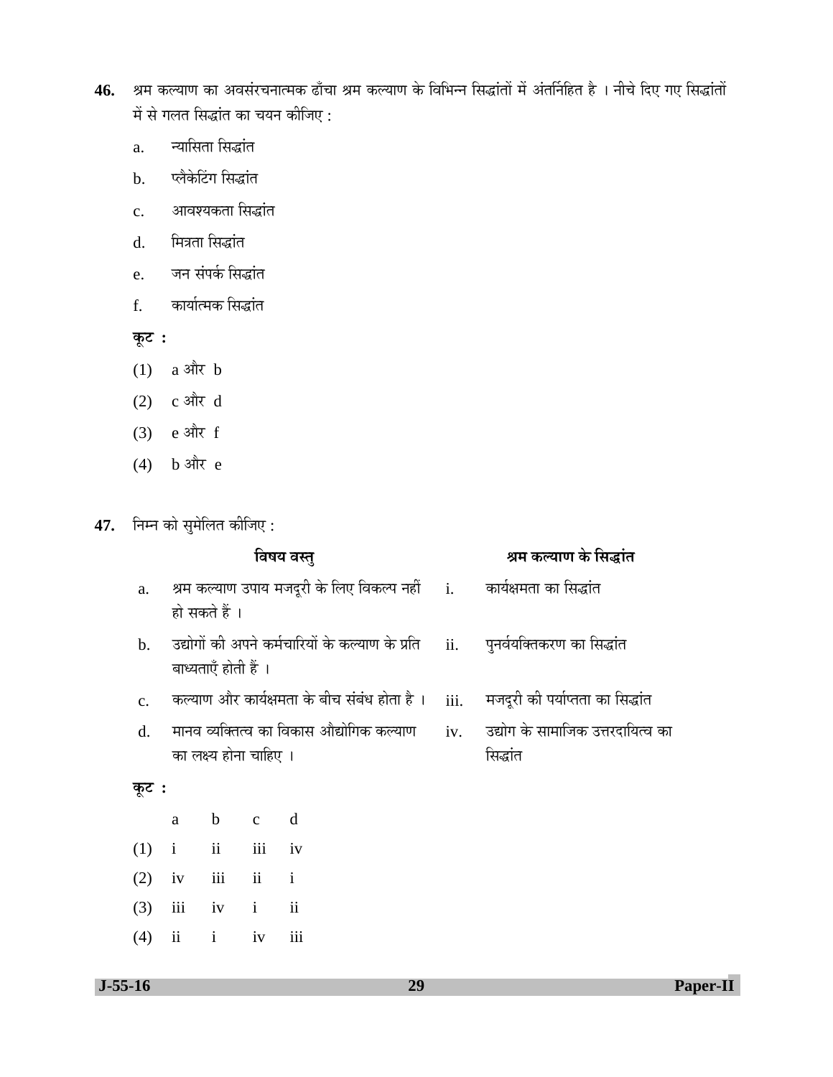- 46. श्रम कल्याण का अवसंरचनात्मक ढाँचा श्रम कल्याण के विभिन्न सिद्धांतों में अंतर्निहित है । नीचे दिए गए सिद्धांतों में से गलत सिद्धांत का चयन कीजिए :
	- a. न्यासिता सिद्धांत
	- b. प्लैकेटिंग सिद्धांत
	- c. आवश्यकता सिद्धांत
	- d. ×´Ö¡ÖŸÖÖ ×ÃÖ¨üÖÓŸÖ
	- e. जन संपर्क सिद्धांत
	- f. कार्यात्मक सिद्धांत

 $\overline{\phi}$ **:** 

- $(1)$  a और b
- (2)  $c \triangleleft \mathbb{R}$  d
- $(3)$  e और f
- $(4)$  b और e

**47.** निम्न को सुमेलित कीजिए :

|                |               |                        | विषय वस्तु               |                                                                                   | श्रम कल्याण के सिद्धांत |                                   |
|----------------|---------------|------------------------|--------------------------|-----------------------------------------------------------------------------------|-------------------------|-----------------------------------|
| a.             |               | हो सकते हैं ।          |                          | श्रम कल्याण उपाय मजदूरी के लिए विकल्प नहीं      i.        कार्यक्षमता का सिद्धांत |                         |                                   |
| $\mathbf{b}$ . |               | बाध्यताएँ होती हैं ।   |                          | उद्योगों की अपने कर्मचारियों के कल्याण के प्रति     ii.                           |                         | पुनर्वयक्तिकरण का सिद्धांत        |
| C <sub>1</sub> |               |                        |                          | कल्याण और कार्यक्षमता के बीच संबंध होता है ।                                      | iii.                    | मजदूरी की पर्याप्तता का सिद्धांत  |
| $\rm d$ .      |               |                        |                          | मानव व्यक्तित्व का विकास औद्योगिक कल्याण                                          | iv.                     | उद्योग के सामाजिक उत्तरदायित्व का |
|                |               | का लक्ष्य होना चाहिए । |                          |                                                                                   |                         | सिद्धांत                          |
| कूट :          |               |                        |                          |                                                                                   |                         |                                   |
|                | a             | $\mathbf b$            | $c \, d$                 |                                                                                   |                         |                                   |
| (1)            | $\mathbf{i}$  | ii                     | iii                      | iv                                                                                |                         |                                   |
| (2)            | iv            | iii                    | $\overline{\mathbf{ii}}$ | $\mathbf{i}$                                                                      |                         |                                   |
| (3)            | iii           | iv                     | $\mathbf{i}$             | $\overline{\mathbf{u}}$                                                           |                         |                                   |
| (4)            | $\mathbf{ii}$ | $\mathbf{i}$           | iv                       | iii                                                                               |                         |                                   |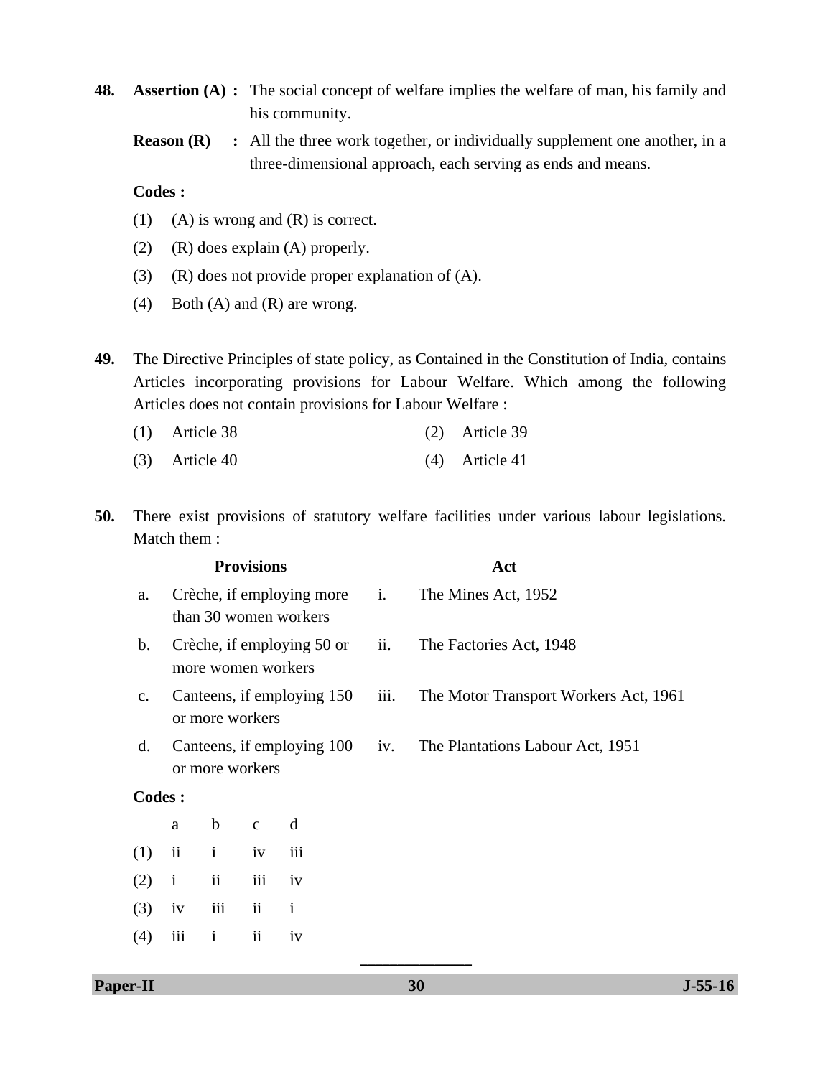**48. Assertion (A) :** The social concept of welfare implies the welfare of man, his family and his community.

**Reason (R)** : All the three work together, or individually supplement one another, in a three-dimensional approach, each serving as ends and means.

#### **Codes :**

- (1) (A) is wrong and  $(R)$  is correct.
- (2) (R) does explain (A) properly.
- (3) (R) does not provide proper explanation of (A).
- (4) Both (A) and (R) are wrong.
- **49.** The Directive Principles of state policy, as Contained in the Constitution of India, contains Articles incorporating provisions for Labour Welfare. Which among the following Articles does not contain provisions for Labour Welfare :

| $(1)$ Article 38 | $(2)$ Article 39 |
|------------------|------------------|
| $(3)$ Article 40 | $(4)$ Article 41 |

**50.** There exist provisions of statutory welfare facilities under various labour legislations. Match them :

|                |               |                    | <b>Provisions</b>   |                                                    | Act  |                                       |  |  |  |
|----------------|---------------|--------------------|---------------------|----------------------------------------------------|------|---------------------------------------|--|--|--|
| a.             |               |                    |                     | Crèche, if employing more<br>than 30 women workers | i.   | The Mines Act, 1952                   |  |  |  |
| $\mathbf{b}$ . |               | more women workers |                     | Crèche, if employing 50 or                         | ii.  | The Factories Act, 1948               |  |  |  |
| $C_{\bullet}$  |               | or more workers    |                     | Canteens, if employing 150                         | iii. | The Motor Transport Workers Act, 1961 |  |  |  |
| d.             |               | or more workers    |                     | Canteens, if employing 100                         | iv.  | The Plantations Labour Act, 1951      |  |  |  |
| <b>Codes:</b>  |               |                    |                     |                                                    |      |                                       |  |  |  |
|                | a             | $\mathbf b$        | $\mathbf{C}$        | d                                                  |      |                                       |  |  |  |
| (1)            | $\mathbf{ii}$ | $\mathbf{i}$       | iv                  | iii                                                |      |                                       |  |  |  |
| (2)            | $\mathbf{i}$  | ii                 | iii                 | iv                                                 |      |                                       |  |  |  |
| (3)            | iv            | iii                | ii                  | $\mathbf{i}$                                       |      |                                       |  |  |  |
| (4)            | iii           | 1                  | $\ddot{\mathbf{i}}$ | 1V                                                 |      |                                       |  |  |  |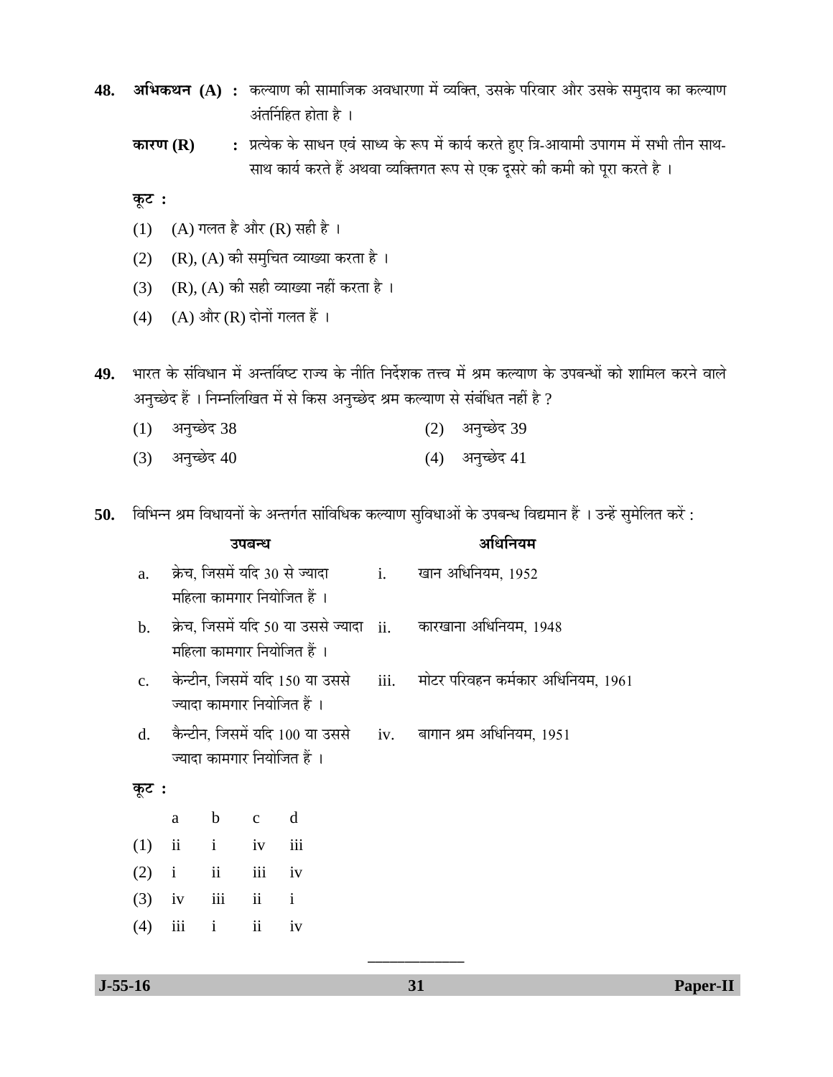- **48. अभिकथन (A) :** कल्याण की सामाजिक अवधारणा में व्यक्ति, उसके परिवार और उसके समुदाय का कल्याण अंतर्निहित होता है $\perp$ 
	- **कारण (R) :** प्रत्येक के साधन एवं साध्य के रूप में कार्य करते हुए त्रि-आयामी उपागम में सभी तीन साथ-साथ कार्य करते हैं अथवा व्यक्तिगत रूप से एक दूसरे की कमी को पूरा करते है ।

**Ûæú™ü :** 

- (1) (A) गलत है और (R) सही है ।
- (2) (R), (A) की समुचित व्याख्या करता है।
- (3) (R), (A) की सही व्याख्या नहीं करता है।
- $(4)$   $(A)$  और  $(R)$  दोनों गलत हैं।

49. भारत के संविधान में अन्तर्विष्ट राज्य के नीति निर्देशक तत्त्व में श्रम कल्याण के उपबन्धों को शामिल करने वाले अनुच्छेद हैं । निम्नलिखित में से किस अनुच्छेद श्रम कल्याण से संबंधित नहीं है ?

- (1) अनुच्छेद 38 (2) अनुच्छेद 39
- $(3)$  अनुच्छेद 40 (4) अनुच्छेद 41
- 50. विभिन्न श्रम विधायनों के अन्तर्गत सांविधिक कल्याण सुविधाओं के उपबन्ध विद्यमान हैं । उन्हें सुमेलित करें :

|                |               |               | उपबन्ध              |                                                              |       | अधिनियम                                                                        |
|----------------|---------------|---------------|---------------------|--------------------------------------------------------------|-------|--------------------------------------------------------------------------------|
| a.             |               |               |                     | क्रेच, जिसमें यदि 30 से ज्यादा<br>महिला कामगार नियोजित हैं । | $i$ . | खान अधिनियम, 1952                                                              |
| $\mathbf{b}$ . |               |               |                     | महिला कामगार नियोजित हैं ।                                   |       | क्रेच, जिसमें यदि 50 या उससे ज्यादा ii. कारखाना अधिनियम, 1948                  |
| $C_{-}$        |               |               |                     | ज्यादा कामगार नियोजित हैं ।                                  |       | केन्टीन, जिसमें यदि 150 या उससे     iii.     मोटर परिवहन कर्मकार अधिनियम, 1961 |
| $\rm d$ .      |               |               |                     | ज्यादा कामगार नियोजित हैं ।                                  |       | कैन्टीन, जिसमें यदि 100 या उससे iv. बागान श्रम अधिनियम, 1951                   |
| कूट :          |               |               |                     |                                                              |       |                                                                                |
|                | a             | $\mathbf b$   | $\mathbf{C}$        | d                                                            |       |                                                                                |
| (1)            | $\mathbf{ii}$ | $\mathbf{i}$  | iv                  | iii                                                          |       |                                                                                |
| (2)            | $\mathbf{i}$  | $\mathbf{ii}$ | iii                 | iv                                                           |       |                                                                                |
| (3)            | iv            | iii           | ii                  | $\mathbf{i}$                                                 |       |                                                                                |
| (4)            | iii           | $\mathbf{i}$  | $\ddot{\mathbf{i}}$ | iv                                                           |       |                                                                                |

\_\_\_\_\_\_\_\_\_\_\_\_\_